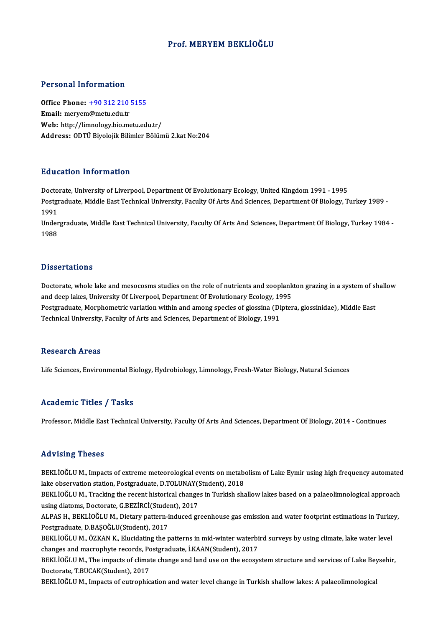## Prof. MERYEM BEKLİOĞLU

## Personal Information

Personal Information<br>Office Phone: <u>+90 312 210 5155</u><br>Email: meryom@metu.edu.tr office Phone: <u>+90 312 210</u><br>Email: merye[m@metu.edu.tr](tel:+90 312 210 5155)<br>Web. http://limpology.his.me Email: meryem@metu.edu.tr<br>Web: http://limnology.bio.metu.edu.tr/ Address: ODTÜ Biyolojik Bilimler Bölümü 2.kat No:204

## Education Information

E<mark>ducation Information</mark><br>Doctorate, University of Liverpool, Department Of Evolutionary Ecology, United Kingdom 1991 - 1995<br>Postsraduate Middle East Technical University, Faculty Of Arts And Sciences, Department Of Pielegy, Postgraduate, Middle East Technical University, Faculty Of Arts And Sciences, Department Of Biology, Turkey 1989 -<br>1991 Docto<br>Postgi<br>1991<br>Under Postgraduate, Middle East Technical University, Faculty Of Arts And Sciences, Department Of Biology, Turkey 1989 -<br>1991<br>Undergraduate, Middle East Technical University, Faculty Of Arts And Sciences, Department Of Biology,

1991<br>Under<br>1988 1988<br>Dissertations

Dissertations<br>Doctorate, whole lake and mesocosms studies on the role of nutrients and zooplankton grazing in a system of shallow<br>and deep lakes University Of Liverneel, Department Of Evalutionery Esclegy, 1995 and deep lakes, University Of Liverpool, Bepartment Of Evolutionary Ecology, 1995<br>And deep lakes, University Of Liverpool, Department Of Evolutionary Ecology, 1995<br>Restaudate Membewetris veristion within and among anogies Doctorate, whole lake and mesocosms studies on the role of nutrients and zooplankton grazing in a system of sl<br>and deep lakes, University Of Liverpool, Department Of Evolutionary Ecology, 1995<br>Postgraduate, Morphometric va and deep lakes, University Of Liverpool, Department Of Evolutionary Ecology, 19<br>Postgraduate, Morphometric variation within and among species of glossina (Di<br>Technical University, Faculty of Arts and Sciences, Department o Technical University, Faculty of Arts and Sciences, Department of Biology, 1991<br>Research Areas

Life Sciences, Environmental Biology, Hydrobiology, Limnology, Fresh-Water Biology, Natural Sciences

### Academic Titles / Tasks

Professor, Middle East Technical University, Faculty Of Arts And Sciences, Department Of Biology, 2014 - Continues

### Advising Theses

Advising Theses<br>BEKLİOĞLU M., Impacts of extreme meteorological events on metabolism of Lake Eymir using high frequency automated<br>Jake ebservation station, Bestareduate, D.TOLUNAY(Student), 2019 lake verlig i riceces<br>BEKLİOĞLU M., Impacts of extreme meteorological events on metabe<br>lake observation station, Postgraduate, D.TOLUNAY(Student), 2018<br>PEKLİOĞLU M. Tracking the recent bistorical changes in Turkish she BEKLİOĞLU M., Impacts of extreme meteorological events on metabolism of Lake Eymir using high frequency automated<br>lake observation station, Postgraduate, D.TOLUNAY(Student), 2018<br>BEKLİOĞLU M., Tracking the recent historica

lake observation station, Postgraduate, D.TOLUNAY(<br>BEKLİOĞLU M., Tracking the recent historical change<br>using diatoms, Doctorate, G.BEZİRCİ(Student), 2017<br>ALBAS H., BEKLİOĞLU M., Distary nattam indused gr BEKLİOĞLU M., Tracking the recent historical changes in Turkish shallow lakes based on a palaeolimnological approach<br>using diatoms, Doctorate, G.BEZİRCİ(Student), 2017<br>ALPAS H., BEKLİOĞLU M., Dietary pattern-induced greenh

using diatoms, Doctorate, G.BEZİRCİ(Stude<br>ALPAS H., BEKLİOĞLU M., Dietary pattern-i<br>Postgraduate, D.BAŞOĞLU(Student), 2017<br>PEKLİOĞLU M., ÖZKAN K., Elugidating the n ALPAS H., BEKLİOĞLU M., Dietary pattern-induced greenhouse gas emission and water footprint estimations in Turke<br>Postgraduate, D.BAŞOĞLU(Student), 2017<br>BEKLİOĞLU M., ÖZKAN K., Elucidating the patterns in mid-winter waterbi Postgraduate, D.BAŞOĞLU(Student), 2017<br>BEKLİOĞLU M., ÖZKAN K., Elucidating the patterns in mid-winter waterbird surveys by using climate, lake water level

changes and macrophyte records, Postgraduate, İ.KAAN(Student), 2017

BEKLİOĞLU M., The impacts of climate change and land use on the ecosystem structure and services of Lake Beysehir,<br>Doctorate, T.BUCAK(Student), 2017

BEKLİOĞLU M., Impacts of eutrophication and water level change in Turkish shallow lakes: A palaeolimnological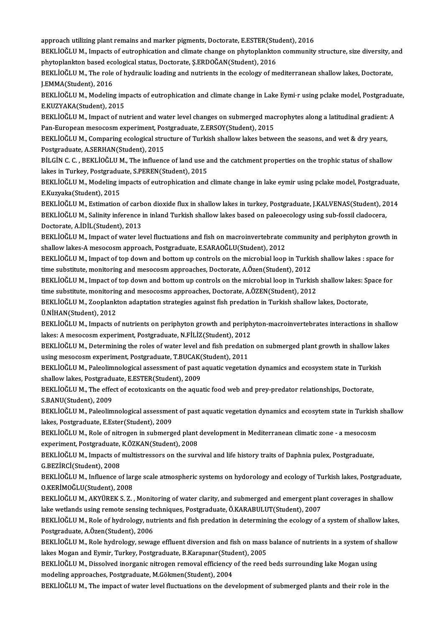approach utilizing plant remains and marker pigments, Doctorate, E.ESTER(Student), 2016<br>PEKLIOČLUM, Impects of outrophisation and climate change on phytoplankton community

BEKLİOĞLU M., Impacts of eutrophication and climate change on phytoplankton community structure, size diversity, and<br>phytoplankton based ecological status, Doctorate, S.ERDOĞAN(Student), 2016 approach utilizing plant remains and marker pigments, Doctorate, E.ESTER(Student)<br>BEKLİOĞLU M., Impacts of eutrophication and climate change on phytoplankton<br>phytoplankton based ecological status, Doctorate, Ş.ERDOĞAN(Stud BEKLİOĞLU M., Impacts of eutrophication and climate change on phytoplankton community structure, size diversity, a<br>phytoplankton based ecological status, Doctorate, Ş.ERDOĞAN(Student), 2016<br>BEKLİOĞLU M., The role of hydrau

phytoplankton based ecc<br>BEKLİOĞLU M., The role<br>J.EMMA(Student), 2016<br>PEKLİOĞLU M. Modeling BEKLİOĞLU M., The role of hydraulic loading and nutrients in the ecology of mediterranean shallow lakes, Doctorate,<br>J.EMMA(Student), 2016<br>BEKLİOĞLU M., Modeling impacts of eutrophication and climate change in Lake Eymi·r u

J.EMMA(Student), 2016<br>BEKLİOĞLU M., Modeling im<br>E.KUZYAKA(Student), 2015<br>BEKLİOĞLU M. Impact of nu BEKLİOĞLU M., Modeling impacts of eutrophication and climate change in Lake Eymi•r using pclake model, Postgradua<br>E.KUZYAKA(Student), 2015<br>BEKLİOĞLU M., Impact of nutrient and water level changes on submerged macrophytes a

E.KUZYAKA(Student), 2015<br>BEKLİOĞLU M., Impact of nutrient and water level changes on submerged macrophytes along a latitudinal gradient: A<br>Pan-European mesocosm experiment, Postgraduate, Z.ERSOY(Student), 2015 BEKLİOĞLU M., Impact of nutrient and water level changes on submerged macrophytes along a latitudinal gradient:<br>Pan-European mesocosm experiment, Postgraduate, Z.ERSOY(Student), 2015<br>BEKLİOĞLU M., Comparing ecological stru

Pan-European mesocosm experiment, Po:<br>BEKLİOĞLU M., Comparing ecological stru<br>Postgraduate, A.SERHAN(Student), 2015<br>PU CİN G. G., PEKLİOĞLU M., The influenc BEKLİOĞLU M., Comparing ecological structure of Turkish shallow lakes between the seasons, and wet & dry years,<br>Postgraduate, A.SERHAN(Student), 2015<br>BİLGİN C. C. , BEKLİOĞLU M., The influence of land use and the catchment

Postgraduate, A.SERHAN(Student), 2015<br>BİLGİN C. C. , BEKLİOĞLU M., The influence of land use and the catchment properties on the trophic status of shallow<br>lakes in Turkey, Postgraduate, S.PEREN(Student), 2015 BİLGİN C. C. , BEKLİOĞLU M., The influence of land use and the catchment properties on the trophic status of shallow<br>lakes in Turkey, Postgraduate, S.PEREN(Student), 2015<br>BEKLİOĞLU M., Modeling impacts of eutrophication an

lakes in Turkey, Postgradu:<br>BEKLİOĞLU M., Modeling in<br>E.Kuzyaka(Student), 2015<br>PEKLİOĞLU M. Estimation BEKLİOĞLU M., Modeling impacts of eutrophication and climate change in lake eymir using pclake model, Postgraduate,<br>E.Kuzyaka(Student), 2015<br>BEKLİOĞLU M., Estimation of carbon dioxide flux in shallow lakes in turkey, Postg

E.Kuzyaka(Student), 2015<br>BEKLİOĞLU M., Estimation of carbon dioxide flux in shallow lakes in turkey, Postgraduate, J.KALVENAS(Student), 2<br>BEKLİOĞLU M., Salinity inference in inland Turkish shallow lakes based on paleoecolo BEKLİOĞLU M., Estimation of carb<br>BEKLİOĞLU M., Salinity inference<br>Doctorate, A.İDİL(Student), 2013<br>BEKLİOĞLU M., İmpast of yutar lo BEKLİOĞLU M., Salinity inference in inland Turkish shallow lakes based on paleoecology using sub-fossil cladocera,<br>Doctorate, A.İDİL(Student), 2013<br>BEKLİOĞLU M., Impact of water level fluctuations and fish on macroinverteb

Doctorate, A.İDİL(Student), 2013<br>BEKLİOĞLU M., Impact of water level fluctuations and fish on macroinvertebrate c<br>shallow lakes-A mesocosm approach, Postgraduate, E.SARAOĞLU(Student), 2012<br>BEKLİOĞLU M. Impact of tan dayın BEKLİOĞLU M., Impact of water level fluctuations and fish on macroinvertebrate community and periphyton growth in<br>shallow lakes-A mesocosm approach, Postgraduate, E.SARAOĞLU(Student), 2012<br>BEKLİOĞLU M., Impact of top down

shallow lakes-A mesocosm approach, Postgraduate, E.SARAOĞLU(Student), 2012<br>BEKLİOĞLU M., Impact of top down and bottom up controls on the microbial loop in Turkish shallow lakes : space for<br>time substitute, monitoring and BEKLİOĞLU M., Impact of top down and bottom up controls on the microbial loop in Turkish shallow lakes : space for<br>time substitute, monitoring and mesocosm approaches, Doctorate, A.Özen(Student), 2012<br>BEKLİOĞLU M., Impact

time substitute, monitoring and mesocosm approaches, Doctorate, A.Özen(Student), 2012<br>BEKLİOĞLU M., Impact of top down and bottom up controls on the microbial loop in Turkish<br>time substitute, monitoring and mesocosms appro BEKLİOĞLU M., Impact of top down and bottom up controls on the microbial loop in Turkish shallow lakes: Sp<br>time substitute, monitoring and mesocosms approaches, Doctorate, A.ÖZEN(Student), 2012<br>BEKLİOĞLU M., Zooplankton ad

time substitute, monitoring and mesocosms approaches, Doctorate, A.ÖZEN(Student), 2012<br>BEKLİOĞLU M., Zooplankton adaptation strategies against fish predation in Turkish shallow lakes, Doctorate,<br>Ü.NİHAN(Student), 2012

BEKLIOĞLUM., Impacts of nutrients on periphyton growth and periphyton-macroinvertebrates interactions in shallow lakes: A mesocosm experiment, Postgraduate, N.FİLİZ(Student), 2012 BEKLİOĞLU M., Impacts of nutrients on periphyton growth and periphyton-macroinvertebrates interactions in shallo<br>lakes: A mesocosm experiment, Postgraduate, N.FİLİZ(Student), 2012<br>BEKLİOĞLU M., Determining the roles of wat

lakes: A mesocosm experiment, Postgraduate, N.FİLİZ(Student), 2012<br>BEKLİOĞLU M., Determining the roles of water level and fish predation<br>using mesocosm experiment, Postgraduate, T.BUCAK(Student), 2011<br>PEKLİOĞLU M. Poloolim BEKLİOĞLU M., Determining the roles of water level and fish predation on submerged plant growth in shallow lak<br>using mesocosm experiment, Postgraduate, T.BUCAK(Student), 2011<br>BEKLİOĞLU M., Paleolimnological assessment of p

using mesocosm experiment, Postgraduate, T.BUCAK(Student), 2011<br>BEKLİOĞLU M., Paleolimnological assessment of past aquatic vegetation dynamics and ecosystem state in Turkish<br>shallow lakes, Postgraduate, E.ESTER(Student), 2 BEKLİOĞLU M., Paleolimnological assessment of past aquatic vegetation dynamics and ecosystem state in Turki<br>shallow lakes, Postgraduate, E.ESTER(Student), 2009<br>BEKLİOĞLU M., The effect of ecotoxicants on the aquatic food w

shallow lakes, Postgradu<br>BEKLİOĞLU M., The effe<br>S.BANU(Student), 2009<br>BEKLİOĞLU M. Polaslim BEKLİOĞLU M., The effect of ecotoxicants on the aquatic food web and prey-predator relationships, Doctorate,<br>S.BANU(Student), 2009<br>BEKLİOĞLU M., Paleolimnological assessment of past aquatic vegetation dynamics and ecosytem

S.BANU(Student), 2009<br>BEKLİOĞLU M., Paleolimnological assessmer<br>lakes, Postgraduate, E.Ester(Student), 2009<br>BEKLİOĞLU M. Role of nitrogen in submeng BEKLİOĞLU M., Paleolimnological assessment of past aquatic vegetation dynamics and ecosytem state in Turkish<br>lakes, Postgraduate, E.Ester(Student), 2009<br>BEKLİOĞLU M., Role of nitrogen in submerged plant development in Medi

lakes, Postgraduate, E.Ester(Student), 2009<br>BEKLİOĞLU M., Role of nitrogen in submerged plant<br>experiment, Postgraduate, K.ÖZKAN(Student), 2008<br>PEKLİOĞLU M. Impacts of multistressors on the surr BEKLİOĞLU M., Role of nitrogen in submerged plant development in Mediterranean climatic zone - a mesocosm<br>experiment, Postgraduate, K.ÖZKAN(Student), 2008<br>BEKLİOĞLU M., Impacts of multistressors on the survival and life hi

experiment, Postgraduate,<br>BEKLİOĞLU M., Impacts of<br>G.BEZİRCİ(Student), 2008<br>PEKLİOĞLU M., Influence o BEKLİOĞLU M., Impacts of multistressors on the survival and life history traits of Daphnia pulex, Postgraduate,<br>G.BEZİRCİ(Student), 2008<br>BEKLİOĞLU M., Influence of large scale atmospheric systems on hydorology and ecology

G.BEZİRCİ(Student), 2008<br>BEKLİOĞLU M., Influence of lar<br>O.KERİMOĞLU(Student), 2008<br>BEKLİOĞLU M. AKYÜBEK S. 7 BEKLİOĞLU M., Influence of large scale atmospheric systems on hydorology and ecology of Turkish lakes, Postgraduat<br>O.KERİMOĞLU(Student), 2008<br>BEKLİOĞLU M., AKYÜREK S. Z. , Monitoring of water clarity, and submerged and eme 0.KERİMOĞLU(Student), 2008<br>BEKLİOĞLU M., AKYÜREK S. Z. , Monitoring of water clarity, and submerged and emergent plant coverages in shallow

BEKLİOĞLU M., AKYÜREK S. Z. , Monitoring of water clarity, and submerged and emergent plant coverages in shallow<br>lake wetlands using remote sensing techniques, Postgraduate, Ö.KARABULUT(Student), 2007<br>BEKLİOĞLU M., Role of

lake wetlands using remote sensing techniques, Postgraduate, Ö.KARABULUT(Student), 2007<br>BEKLİOĞLU M., Role of hydrology, nutrients and fish predation in determining the ecology of<br>Postgraduate, A.Özen(Student), 2006 BEKLİOĞLU M., Role of hydrology, nutrients and fish predation in determining the ecology of a system of shallow lakes,<br>Postgraduate, A.Özen(Student), 2006<br>BEKLİOĞLU M., Role hydrology, sewage effluent diversion and fish on

Postgraduate, A.Özen(Student), 2006<br>BEKLİOĞLU M., Role hydrology, sewage effluent diversion and fish on mass<br>lakes Mogan and Eymir, Turkey, Postgraduate, B.Karapınar(Student), 2005<br>REKLİOĞLU M. Dissolved inorganis pitroson BEKLİOĞLU M., Role hydrology, sewage effluent diversion and fish on mass balance of nutrients in a system of sl<br>lakes Mogan and Eymir, Turkey, Postgraduate, B.Karapınar(Student), 2005<br>BEKLİOĞLU M., Dissolved inorganic nitr

lakes Mogan and Eymir, Turkey, Postgraduate, B.Karapınar(Student), 2005<br>BEKLİOĞLU M., Dissolved inorganic nitrogen removal efficiency of the reed beds surrounding lake Mogan using<br>modeling approaches, Postgraduate, M.Gökme

BEKLIOĞLUM., The impact of water level fluctuations on the development of submerged plants and their role in the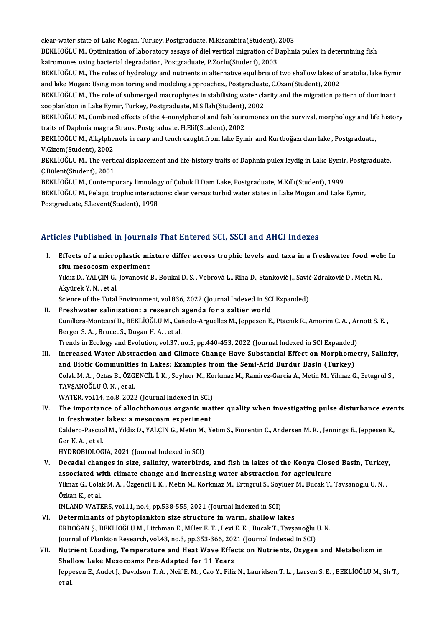clear-water state of Lake Mogan, Turkey, Postgraduate, M.Kisambira(Student), 2003<br>PEKLIOČLU M. Optimiration of laboratory assays of dial vertical misration of Daphri BEKLİOĞLU M., Optimization of laboratory assays of diel vertical migration of Daphnia pulex in determining fish<br>kairomones using bacterial degradation, Postgraduate, P.Zorlu(Student), 2003 clear-water state of Lake Mogan, Turkey, Postgraduate, M.Kisambira(Student), .<br>BEKLİOĞLU M., Optimization of laboratory assays of diel vertical migration of D<br>kairomones using bacterial degradation, Postgraduate, P.Zorlu(S BEKLİOĞLU M., Optimization of laboratory assays of diel vertical migration of Daphnia pulex in determining fish<br>kairomones using bacterial degradation, Postgraduate, P.Zorlu(Student), 2003<br>BEKLİOĞLU M., The roles of hydrol kairomones using bacterial degradation, Postgraduate, P.Zorlu(Student), 2003<br>BEKLİOĞLU M., The roles of hydrology and nutrients in alternative equlibria of two shallow lakes of<br>and lake Mogan: Using monitoring and modeling BEKLİOĞLU M., The roles of hydrology and nutrients in alternative equlibria of two shallow lakes of anatolia, lake Eym<br>and lake Mogan: Using monitoring and modeling approaches., Postgraduate, C.Ozan(Student), 2002<br>BEKLİOĞL and lake Mogan: Using monitoring and modeling approaches., Postgraduate, C.Ozan(Student), 2002<br>BEKLİOĞLU M., The role of submerged macrophytes in stabilising water clarity and the migration pattern of dominant<br>zooplankton BEKLIOĞLUM., The role of submerged macrophytes in stabilising water clarity and the migration pattern of dominant zooplankton in Lake Eymir, Turkey, Postgraduate, M.Sillah (Student), 2002 BEKLİOĞLU M., Combined effects of the 4-nonylphenol and fish kairomones on the survival, morphology and life<br>traits of Daphnia magna Straus, Postgraduate, H.Elif(Student), 2002<br>BEKLİOĞLU M., Alkylphenols in carp and tench traits of Daphnia magna Straus, Postgraduate, H.Elif(Student), 2002<br>BEKLİOĞLU M., Alkylphenols in carp and tench caught from lake Eymir and Kurtboğazı dam lake., Postgraduate,<br>V.Gizem(Student), 2002<br>BEKLİOĞLU M., The verti BEKLİOĞLU M., Alkylphenols in carp and tench caught from lake Eymir and Kurtboğazı dam lake., Postgraduate,<br>V.Gizem(Student), 2002<br>BEKLİOĞLU M., The vertical displacement and life-history traits of Daphnia pulex leydig in V.Gizem(Student), 2002<br>BEKLİOĞLU M., The vert<br>C.Bülent(Student), 2001 BEKLİOĞLU M., The vertical displacement and life-history traits of Daphnia pulex leydig in Lake Eymir<br>Ç.Bülent(Student), 2001<br>BEKLİOĞLU M., Contemporary limnology of Çubuk II Dam Lake, Postgraduate, M.Kıllı(Student), 1999<br> Ç.Bülent(Student), 2001<br>BEKLİOĞLU M., Contemporary limnology of Çubuk II Dam Lake, Postgraduate, M.Kıllı(Student), 1999<br>BEKLİOĞLU M., Pelagic trophic interactions: clear versus turbid water states in Lake Mogan and Lake Ey

BEKLİOĞLU M., Contemporary limnolog<br>BEKLİOĞLU M., Pelagic trophic interacti<br>Postgraduate, S.Levent(Student), 1998

# Postgraduate, S.Levent(Student), 1998<br>Articles Published in Journals That Entered SCI, SSCI and AHCI Indexes

rticles Published in Journals That Entered SCI, SSCI and AHCI Indexes<br>I. Effects of a microplastic mixture differ across trophic levels and taxa in a freshwater food web: In situd a microplastic mi<br>Effects of a microplastic mi<br>situ mesocosm experiment<br>Vidia D, VALCIN C, Jovenović Effects of a microplastic mixture differ across trophic levels and taxa in a freshwater food web<br>situ mesocosm experiment<br>Yıldız D., YALÇIN G., Jovanović B., Boukal D. S. , Vebrová L., Riha D., Stanković J., Savić-Zdrakovi

<mark>situ mesocosm ex</mark><br>Yıldız D., YALÇIN G.,<br>Akyürek Y. N. , et al.<br>Scionce of the Total. Yıldız D., YALÇIN G., Jovanović B., Boukal D. S. , Vebrová L., Riha D., Stanković J., Savić<br>Akyürek Y. N. , et al.<br>Science of the Total Environment, vol.836, 2022 (Journal Indexed in SCI Expanded)<br>Enechwater selinisation:

Akyürek Y. N. , et al.<br>Science of the Total Environment, vol.836, 2022 (Journal Indexed in SCI Expanded)<br>II. Freshwater salinisation: a research agenda for a saltier world

- Science of the Total Environment, vol.836, 2022 (Journal Indexed in SCI Expanded)<br>Freshwater salinisation: a research agenda for a saltier world<br>Cunillera-Montcusí D., BEKLİOĞLU M., Cañedo-Argüelles M., Jeppesen E., Ptacni Freshwater salinisation: a research<br>Cunillera-Montcusí D., BEKLİOĞLU M., Cai<br>Berger S. A. , Brucet S., Dugan H. A. , et al.<br>Trands in Esolagy and Evolution, vol 37, r Cunillera-Montcusí D., BEKLİOĞLU M., Cañedo-Argüelles M., Jeppesen E., Ptacnik R., Amorim C. A. , Ar<br>Berger S. A. , Brucet S., Dugan H. A. , et al.<br>Trends in Ecology and Evolution, vol.37, no.5, pp.440-453, 2022 (Journal I Berger S. A. , Brucet S., Dugan H. A. , et al.<br>Trends in Ecology and Evolution, vol.37, no.5, pp.440-453, 2022 (Journal Indexed in SCI Expanded)<br>III. Increased Water Abstraction and Climate Change Have Substantial Effect o
- Trends in Ecology and Evolution, vol.37, no.5, pp.440-453, 2022 (Journal Indexed in SCI Expanded)<br>Increased Water Abstraction and Climate Change Have Substantial Effect on Morphome<br>and Biotic Communities in Lakes: Examples Increased Water Abstraction and Climate Change Have Substantial Effect on Morphometry, Salinity<br>and Biotic Communities in Lakes: Examples from the Semi-Arid Burdur Basin (Turkey)<br>Colak M. A. , Oztas B., ÖZGENCİL İ. K. , So and Biotic Communities in Lakes: Examples from the Semi-Arid Burdur Basin (Turkey)<br>Colak M. A., Oztas B., ÖZGENCİL İ. K., Soyluer M., Korkmaz M., Ramirez-Garcia A., Metin M., Yilmaz G<br>TAVŞANOĞLU Ü. N., et al.<br>WATER, vol.14 Colak M. A., Oztas B., ÖZGENCİL İ. K., Soyluer M., Korkmaz M., Ramirez-Garcia A., Metin M., Yilmaz G., Ertugrul S., TAVŞANOĞLU Ü. N. , et al.<br>WATER, vol.14, no.8, 2022 (Journal Indexed in SCI)<br>IV. The importance of allochthonous organic matter quality when investigating pulse disturbance events<br>in freebyster lakes: a messeem evrorim

WATER, vol.14, no.8, 2022 (Journal Indexed in SCI)<br>The importance of allochthonous organic ma<br>in freshwater lakes: a mesocosm experiment<br>Caldere Pascual M, Vildia D, VALGN C, Metin M, V The importance of allochthonous organic matter quality when investigating pulse disturbance ever<br>in freshwater lakes: a mesocosm experiment<br>Caldero-Pascual M., Yildiz D., YALÇIN G., Metin M., Yetim S., Fiorentin C., Anders in freshwater lakes: a mesocosm experiment<br>Caldero-Pascual M., Yildiz D., YALÇIN G., Metin M., Yetim S., Fiorentin C., Andersen M. R. , Jennings E., Jeppesen E.,<br>Ger K. A. , et al.

HYDROBIOLOGIA, 2021 (Journal Indexed in SCI)

Ger K. A. , et al.<br>HYDROBIOLOGIA, 2021 (Journal Indexed in SCI)<br>V. Decadal changes in size, salinity, waterbirds, and fish in lakes of the Konya Closed Basin, Turkey,<br>associated with climate change and increasing water ebs HYDROBIOLOGIA, 2021 (Journal Indexed in SCI)<br>Decadal changes in size, salinity, waterbirds, and fish in lakes of the Konya Close<br>associated with climate change and increasing water abstraction for agriculture<br>Vilmag C. Col Decadal changes in size, salinity, waterbirds, and fish in lakes of the Konya Closed Basin, Turkey<br>associated with climate change and increasing water abstraction for agriculture<br>Yilmaz G., Colak M. A. , Özgencil I. K. , M associated with climate change and increasing water abstraction for agriculture<br>Yilmaz G., Colak M. A. , Özgencil I. K. , Metin M., Korkmaz M., Ertugrul S., Soyluer M., Bucak T., Tavsanoglu U. N. ,<br>Özkan K.. et al. INLAND WATERS, vol.11, no.4, pp.538-555, 2021 (Journal Indexed in SCI)

VI. Determinants of phytoplankton size structure in warm, shallow lakes

- INLAND WATERS, vol.11, no.4, pp.538-555, 2021 (Journal Indexed in SCI)<br>Determinants of phytoplankton size structure in warm, shallow lakes<br>ERDOĞAN Ş., BEKLİOĞLU M., Litchman E., Miller E.T. , Levi E. E. , Bucak T., Tavşano Determinants of phytoplankton size structure in warm, shallow lakes<br>ERDOĞAN Ş., BEKLİOĞLU M., Litchman E., Miller E. T. , Levi E. E. , Bucak T., Tavşanoğlu |<br>Journal of Plankton Research, vol.43, no.3, pp.353-366, 2021 (Jo Journal of Plankton Research, vol.43, no.3, pp.353-366, 2021 (Journal Indexed in SCI)
- VII. Nutrient Loading, Temperature and Heat Wave Effects on Nutrients, Oxygen and Metabolism in Jeppesen E., Audet J., Davidson T. A. , Neif E. M. , Cao Y., Filiz N., Lauridsen T. L. , Larsen S. E. , BEKLİOĞLU M., Sh T.,<br>et al. Shallow Lake Mesocosms Pre-Adapted for 11 Years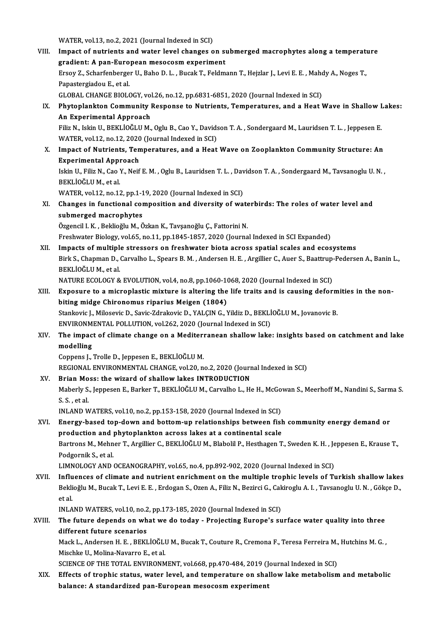WATER, vol.13, no.2, 2021 (Journal Indexed in SCI)

WATER, vol.13, no.2, 2021 (Journal Indexed in SCI)<br>VIII. Impact of nutrients and water level changes on submerged macrophytes along a temperature WATER, vol.13, no.2, 2021 (Journal Indexed in SCI)<br>Impact of nutrients and water level changes on superiment<br>gradient: A pan-European mesocosm experiment<br>Freev 7, Scharfenberger U, Babe D, L, Bugak T, Esldm Impact of nutrients and water level changes on submerged macrophytes along a temperatured and the state of the<br>gradient: A pan-European mesocosm experiment<br>Ersoy Z., Scharfenberger U., Baho D. L. , Bucak T., Feldmann T., H **gradient: A pan-Euro<br>Ersoy Z., Scharfenberge<br>Papastergiadou E., et al.<br>CLOBAL CHANCE PIOLO** Ersoy Z., Scharfenberger U., Baho D. L. , Bucak T., Feldmann T., Hejzlar J., Levi E. E. , Maho<br>Papastergiadou E., et al.<br>GLOBAL CHANGE BIOLOGY, vol.26, no.12, pp.6831-6851, 2020 (Journal Indexed in SCI)<br>Phytoplankton Commu Papastergiadou E., et al.<br>GLOBAL CHANGE BIOLOGY, vol.26, no.12, pp.6831-6851, 2020 (Journal Indexed in SCI)<br>IX. Phytoplankton Community Response to Nutrients, Temperatures, and a Heat Wave in Shallow Lakes:<br>An Experimental GLOBAL CHANGE BIOLOGY, vol<br>Phytoplankton Community l<br>An Experimental Approach<br>Filiz N. Jokin H. PEKLIOČHI M Phytoplankton Community Response to Nutrients, Temperatures, and a Heat Wave in Shallow I<br>An Experimental Approach<br>Filiz N., Iskin U., BEKLİOĞLU M., Oglu B., Cao Y., Davidson T. A. , Sondergaard M., Lauridsen T. L. , Jeppe An Experimental Approach<br>Filiz N., Iskin U., BEKLİOĞLU M., Oglu B., Cao Y., Davids<br>WATER, vol.12, no.12, 2020 (Journal Indexed in SCI)<br>Impact of Nutriants, Temperatures, and a Heat Filiz N., Iskin U., BEKLİOĞLU M., Oglu B., Cao Y., Davidson T. A. , Sondergaard M., Lauridsen T. L. , Jeppesen E.<br>WATER, vol.12, no.12, 2020 (Journal Indexed in SCI)<br>X. Impact of Nutrients, Temperatures, and a Heat Wave on WATER, vol.12, no.12, 2020 (Journal Indexed in SCI)<br>Impact of Nutrients, Temperatures, and a Heat<br>Experimental Approach Impact of Nutrients, Temperatures, and a Heat Wave on Zooplankton Community Structure: An<br>Experimental Approach<br>Iskin U., Filiz N., Cao Y., Neif E. M. , Oglu B., Lauridsen T. L. , Davidson T. A. , Sondergaard M., Tavsanogl Experimental Appi<br>Iskin U., Filiz N., Cao Y<br>BEKLİOĞLU M., et al.<br>WATEP. val 12. no 13 Iskin U., Filiz N., Cao Y., Neif E. M. , Oglu B., Lauridsen T. L. , Dav<br>BEKLİOĞLU M., et al.<br>WATER, vol.12, no.12, pp.1-19, 2020 (Journal Indexed in SCI)<br>Changes in functional composition and diversity of we BEKLİOĞLU M., et al.<br>WATER, vol.12, no.12, pp.1-19, 2020 (Journal Indexed in SCI)<br>XI. Changes in functional composition and diversity of waterbirds: The roles of water level and<br>submerged macrophytes WATER, vol.12, no.12, pp.1-19, 2020 (Journal Indexed in SCI) Özgencil I.K., Beklioğlu M., Özkan K., Tavşanoğlu Ç., Fattorini N. Freshwater Biology, vol.65, no.11, pp.1845-1857, 2020 (Journal Indexed in SCI Expanded) Özgencil I. K., Beklioğlu M., Özkan K., Tavşanoğlu Ç., Fattorini N.<br>Freshwater Biology, vol.65, no.11, pp.1845-1857, 2020 (Journal Indexed in SCI Expanded)<br>XII. Impacts of multiple stressors on freshwater biota across spat Birk S., Chapman D., Carvalho L., Spears B. M., Andersen H. E., Argillier C., Auer S., Baattrup-Pedersen A., Banin L.,<br>BEKLIOĞLU M., et al. **Impacts of multiple**<br>Birk S., Chapman D., OBEKLİOĞLUM., et al.<br>NATUPE ECOLOCY & Birk S., Chapman D., Carvalho L., Spears B. M. , Andersen H. E. , Argillier C., Auer S., Baattrup-<br>BEKLİOĞLU M., et al.<br>NATURE ECOLOGY & EVOLUTION, vol.4, no.8, pp.1060-1068, 2020 (Journal Indexed in SCI)<br>Exposure to a mis BEKLİOĞLU M., et al.<br>NATURE ECOLOGY & EVOLUTION, vol.4, no.8, pp.1060-1068, 2020 (Journal Indexed in SCI)<br>XIII. Exposure to a microplastic mixture is altering the life traits and is causing deformities in the non-<br>hiting m NATURE ECOLOGY & EVOLUTION, vol.4, no.8, pp.1060-10<br>Exposure to a microplastic mixture is altering the<br>biting midge Chironomus riparius Meigen (1804)<br>Stankovic L. Milosovic D. Sovie Zdrakovic D. VALGN C. N Exposure to a microplastic mixture is altering the life traits and is causing deform<br>biting midge Chironomus riparius Meigen (1804)<br>Stankovic J., Milosevic D., Savic-Zdrakovic D., YALÇIN G., Yildiz D., BEKLİOĞLU M., Jovano biting midge Chironomus riparius Meigen (1804)<br>Stankovic J., Milosevic D., Savic-Zdrakovic D., YALÇIN G., Yildiz D., BEKLİOĞLU M., Jovanovic B. Stankovic J., Milosevic D., Savic-Zdrakovic D., YALÇIN G., Yildiz D., BEKLİOĞLU M., Jovanovic B.<br>ENVIRONMENTAL POLLUTION, vol.262, 2020 (Journal Indexed in SCI)<br>XIV. The impact of climate change on a Mediterranean shal ENVIRONMENTAL POLLUTION, vol.262, 2020 (Journal Indexed in SCI)<br>The impact of climate change on a Mediterranean shallow lake<br>modelling<br>Coppens J., Trolle D., Jeppesen E., BEKLİOĞLU M. The impact of climate change on a Mediteri<br>modelling<br>Coppens J., Trolle D., Jeppesen E., BEKLİOĞLU M.<br>BECIONAL ENVIRONMENTAL CHANGE xel 30 n REGIONAL ENVIRONMENTAL CHANGE, vol.20, no.2, 2020 (Journal Indexed in SCI) Coppens J., Trolle D., Jeppesen E., BEKLIOĞLU M.<br>REGIONAL ENVIRONMENTAL CHANGE, vol.20, no.2, 2020 (Journal XV. Brian Moss: the wizard of shallow lakes INTRODUCTION REGIONAL ENVIRONMENTAL CHANGE, vol.20, no.2, 2020 (Journal Indexed in SCI)<br>Brian Moss: the wizard of shallow lakes INTRODUCTION<br>Maberly S., Jeppesen E., Barker T., BEKLİOĞLU M., Carvalho L., He H., McGowan S., Meerhoff M., **Brian Mo<br>Maberly S.<br>S. S. , et al.<br>INLAND W** Maberly S., Jeppesen E., Barker T., BEKLİOĞLU M., Carvalho L., He H., McGo<br>S. S. , et al.<br>INLAND WATERS, vol.10, no.2, pp.153-158, 2020 (Journal Indexed in SCI)<br>Energy based tan down and bettem un relationships between fie S. S. , et al.<br>INLAND WATERS, vol.10, no.2, pp.153-158, 2020 (Journal Indexed in SCI)<br>XVI. Energy-based top-down and bottom-up relationships between fish community energy demand or<br>nucdustion and phytoplankton capeas lakes INLAND WATERS, vol.10, no.2, pp.153-158, 2020 (Journal Indexed in SCI)<br>Energy-based top-down and bottom-up relationships between fish<br>production and phytoplankton across lakes at a continental scale<br>Partrops M. Mohnor T. A Energy-based top-down and bottom-up relationships between fish community energy demand or<br>production and phytoplankton across lakes at a continental scale<br>Bartrons M., Mehner T., Argillier C., BEKLİOĞLU M., Blabolil P., He production and<br>Bartrons M., Mehn<br>Podgornik S., et al.<br>LIMNOLOCY AND Bartrons M., Mehner T., Argillier C., BEKLİOĞLU M., Blabolil P., Hesthagen T., Sweden K. H. , Je<br>Podgornik S., et al.<br>LIMNOLOGY AND OCEANOGRAPHY, vol.65, no.4, pp.892-902, 2020 (Journal Indexed in SCI)<br>Influences of slimat Podgornik S., et al.<br>LIMNOLOGY AND OCEANOGRAPHY, vol.65, no.4, pp.892-902, 2020 (Journal Indexed in SCI)<br>XVII. Influences of climate and nutrient enrichment on the multiple trophic levels of Turkish shallow lakes LIMNOLOGY AND OCEANOGRAPHY, vol.65, no.4, pp.892-902, 2020 (Journal Indexed in SCI)<br>I<mark>nfluences of climate and nutrient enrichment on the multiple trophic levels of Turkish shallow lakes</mark><br>Beklioğlu M., Bucak T., Levi E. E. I<mark>nflu</mark><br>Bekli<br>et al.<br>INLA Beklioğlu M., Bucak T., Levi E. E. , Erdogan S., Ozen A., Filiz N., Bezirci G., Cak<br>et al.<br>INLAND WATERS, vol.10, no.2, pp.173-185, 2020 (Journal Indexed in SCI)<br>The future depends on what we de today... Prejecting Europe' et al.<br>INLAND WATERS, vol.10, no.2, pp.173-185, 2020 (Journal Indexed in SCI)<br>XVIII. The future depends on what we do today - Projecting Europe's surface water quality into three<br>different future economies INLAND WATERS, vol.10, no.2<br>The future depends on wh<br>different future scenarios<br>Mask L. Andersen H. E., BEKI The future depends on what we do today - Projecting Europe's surface water quality into three<br>different future scenarios<br>Mack L., Andersen H. E. , BEKLİOĞLU M., Bucak T., Couture R., Cremona F., Teresa Ferreira M., Hutchin different future scenarios<br>Mack L., Andersen H. E. , BEKLİOĞLI<br>Mischke U., Molina-Navarro E., et al.<br>SCIENCE OF THE TOTAL ENVIRONM Mack L., Andersen H. E. , BEKLİOĞLU M., Bucak T., Couture R., Cremona F., Teresa Ferreira M.,<br>Mischke U., Molina-Navarro E., et al.<br>SCIENCE OF THE TOTAL ENVIRONMENT, vol.668, pp.470-484, 2019 (Journal Indexed in SCI)<br>Effec Mischke U., Molina-Navarro E., et al.<br>SCIENCE OF THE TOTAL ENVIRONMENT, vol.668, pp.470-484, 2019 (Journal Indexed in SCI)<br>XIX. Effects of trophic status, water level, and temperature on shallow lake metabolism and metabol

balance: A standardized pan-European mesocosm experiment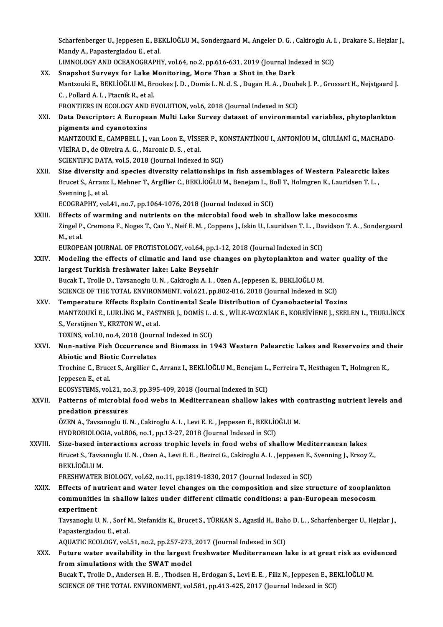Scharfenberger U., Jeppesen E., BEKLİOĞLU M., Sondergaard M., Angeler D. G. , Cakiroglu A. I. , Drakare S., Hejzlar J.,<br>Mandy A., Penastarsiadev E. et al. Scharfenberger U., Jeppesen E., BE<br>Mandy A., Papastergiadou E., et al.<br>LIMNOLOCY AND OCEANOCRAPH Scharfenberger U., Jeppesen E., BEKLİOĞLU M., Sondergaard M., Angeler D. G. , Cakiroglu A. I<br>Mandy A., Papastergiadou E., et al.<br>LIMNOLOGY AND OCEANOGRAPHY, vol.64, no.2, pp.616-631, 2019 (Journal Indexed in SCI)<br>Spanebet

- Mandy A., Papastergiadou E., et al.<br>LIMNOLOGY AND OCEANOGRAPHY, vol.64, no.2, pp.616-631, 2019 (Journal Ind<br>XX. Snapshot Surveys for Lake Monitoring, More Than a Shot in the Dark<br>Montrouli E. BEVI JOČI IJM, Prockes L.D., D LIMNOLOGY AND OCEANOGRAPHY, vol.64, no.2, pp.616-631, 2019 (Journal Indexed in SCI)<br>Snapshot Surveys for Lake Monitoring, More Than a Shot in the Dark<br>Mantzouki E., BEKLİOĞLU M., Brookes J. D. , Domis L. N. d. S. , Dugan H Snapshot Surveys for Lake N<br>Mantzouki E., BEKLİOĞLU M., Br<br>C. , Pollard A. I. , Ptacnik R., et al.<br>EPONTIERS IN ECOLOCY AND E Mantzouki E., BEKLİOĞLU M., Brookes J. D. , Domis L. N. d. S. , Dugan H. A. , Doub<br>C. , Pollard A. I. , Ptacnik R., et al.<br>FRONTIERS IN ECOLOGY AND EVOLUTION, vol.6, 2018 (Journal Indexed in SCI)<br>Data Descriptory A Europea C. , Pollard A. I. , Ptacnik R., et al.<br>FRONTIERS IN ECOLOGY AND EVOLUTION, vol.6, 2018 (Journal Indexed in SCI)<br>XXI. Data Descriptor: A European Multi Lake Survey dataset of environmental variables, phytoplankton<br>pigm FRONTIERS IN ECOLOGY AND EVOLUTION, vol.6, 2018 (Journal Indexed in SCI)
- Data Descriptor: A European Multi Lake Survey dataset of environmental variables, phytoplankton<br>pigments and cyanotoxins<br>MANTZOUKİ E., CAMPBELL J., van Loon E., VİSSER P., KONSTANTİNOU I., ANTONİOU M., GİULİANİ G., MACHADO pigments and cyanotoxins<br>MANTZOUKİ E., CAMPBELL J., van Loon E., VİSSI<br>VİEİRA D., de Oliveira A. G. , Maronic D. S. , et al.<br>SCIENTIEIC DATA. vel 5, 2019 (Journal Indexed MANTZOUKİ E., CAMPBELL J., van Loon E., VİSSER P., KONDISIONATA.<br>SCIENTIFIC DATA, vol.5, 2018 (Journal Indexed in SCI)<br>Sine diversity and species diversity relationships VİEİRA D., de Oliveira A. G. , Maronic D. S. , et al.<br>SCIENTIFIC DATA, vol.5, 2018 (Journal Indexed in SCI)<br>XXII. Size diversity and species diversity relationships in fish assemblages of Western Palearctic lakes
- SCIENTIFIC DATA, vol.5, 2018 (Journal Indexed in SCI)<br>Size diversity and species diversity relationships in fish assemblages of Western Palearctic lak<br>Brucet S., Arranz I., Mehner T., Argillier C., BEKLİOĞLU M., Benejam L. Size diversity a<br>Brucet S., Arranz<br>Svenning J., et al.<br>ECOCRAPHY xel Brucet S., Arranz I., Mehner T., Argillier C., BEKLİOĞLU M., Benejam L., Boyanning J., et al.<br>Svenning J., et al.<br>ECOGRAPHY, vol.41, no.7, pp.1064-1076, 2018 (Journal Indexed in SCI)<br>Effects of worming and nutriants on the

Svenning J., et al.<br>ECOGRAPHY, vol.41, no.7, pp.1064-1076, 2018 (Journal Indexed in SCI)<br>XXIII. Effects of warming and nutrients on the microbial food web in shallow lake mesocosms<br>Zingel B. Cremens E. Neges T. Coe Y. Neif ECOGRAPHY, vol.41, no.7, pp.1064-1076, 2018 (Journal Indexed in SCI)<br>Effects of warming and nutrients on the microbial food web in shallow lake mesocosms<br>Zingel P., Cremona F., Noges T., Cao Y., Neif E. M. , Coppens J., Is Effects<br>Zingel P.<br>M., et al.<br>EUPOPE Zingel P., Cremona F., Noges T., Cao Y., Neif E. M. , Coppens J., Iskin U., Lauridsen T. L. , Da<br>M., et al.<br>EUROPEAN JOURNAL OF PROTISTOLOGY, vol.64, pp.1-12, 2018 (Journal Indexed in SCI)<br>Modeling the effects of climatic

XXIV. Modeling the effects of climatic and land use changes on phytoplankton and water quality of the<br>largest Turkish freshwater lake: Lake Beysehir EUROPEAN JOURNAL OF PROTISTOLOGY, vol.64, pp.1.<br>Modeling the effects of climatic and land use ch<br>largest Turkish freshwater lake: Lake Beysehir Bucak T., Trolle D., Tavsanoglu U. N., Cakiroglu A. I., Ozen A., Jeppesen E., BEKLİOĞLU M. largest Turkish freshwater lake: Lake Beysehir<br>Bucak T., Trolle D., Tavsanoglu U. N. , Cakiroglu A. I. , Ozen A., Jeppesen E., BEKLİOĞLU M.<br>SCIENCE OF THE TOTAL ENVIRONMENT, vol.621, pp.802-816, 2018 (Journal Indexed in SC Bucak T., Trolle D., Tavsanoglu U. N. , Cakiroglu A. I. , Ozen A., Jeppesen E., BEKLİOĞLU M.<br>SCIENCE OF THE TOTAL ENVIRONMENT, vol.621, pp.802-816, 2018 (Journal Indexed in SCI)<br>XXV. Temperature Effects Explain Continental

SCIENCE OF THE TOTAL ENVIRONMENT, vol.621, pp.802-816, 2018 (Journal Indexed in SCI)<br>Temperature Effects Explain Continental Scale Distribution of Cyanobacterial Toxins<br>MANTZOUKİ E., LURLİNG M., FASTNER J., DOMİS L. d. S. Temperature Effects Explain C<br>MANTZOUKİ E., LURLİNG M., FAST<br>S., Verstijnen Y., KRZTON W., et al.<br>TOVINS. vol 10. no. 4. 2018 (Journe MANTZOUKİ E., LURLİNG M., FASTNER J., DOMİS L. d.<br>S., Verstijnen Y., KRZTON W., et al.<br>TOXINS, vol.10, no.4, 2018 (Journal Indexed in SCI)<br>Non-pative Eish Ossurranse and Biamass in 1

S., Verstijnen Y., KRZTON W., et al.<br>TOXINS, vol.10, no.4, 2018 (Journal Indexed in SCI)<br>XXVI. Non-native Fish Occurrence and Biomass in 1943 Western Palearctic Lakes and Reservoirs and their<br>Abietic and Biotic Conrelates TOXINS, vol.10, no.4, 2018 (Journ<br>Non-native Fish Occurrence a<br>Abiotic and Biotic Correlates<br>Trechine C. Pruset S. Argillian C. Non-native Fish Occurrence and Biomass in 1943 Western Palearctic Lakes and Reservoirs and t<br>Abiotic and Biotic Correlates<br>Trochine C., Brucet S., Argillier C., Arranz I., BEKLİOĞLU M., Benejam L., Ferreira T., Hesthagen T

**Abiotic and Bio<br>Trochine C., Bruce<br>Jeppesen E., et al.<br>ECOSVSTEMS** vol Trochine C., Brucet S., Argillier C., Arranz I., BEKLİOĞLU M., Benejam L.<br>Jeppesen E., et al.<br>ECOSYSTEMS, vol.21, no.3, pp.395-409, 2018 (Journal Indexed in SCI)<br>Petterne of mianebial food webe in Mediternanean shallow lak

# Jeppesen E., et al.<br>ECOSYSTEMS, vol.21, no.3, pp.395-409, 2018 (Journal Indexed in SCI)<br>XXVII. Patterns of microbial food webs in Mediterranean shallow lakes with contrasting nutrient levels and<br>nunclation pressures ECOSYSTEMS, vol.21, no.3, pp.395-409, 2018 (Journal Indexed in SCI)<br>Patterns of microbial food webs in Mediterranean shallow lakes with corporation pressures<br>ÖZEN A., Tavsanoglu U. N., Cakiroglu A. I., Levi E. E., Jeppesen Patterns of microbial food webs in Mediterranean shallow lakes with condition pressures<br>OZEN A., Tavsanoglu U.N. , Cakiroglu A.I. , Levi E. E. , Jeppesen E., BEKLİOĞLU M.<br>UVPROBIOLOCIA, val 806, na 1, nn 12, 27, 2018 (Jaur

HYDROBIOLOGIA, vol.806, no.1, pp.13-27, 2018 (Journal Indexed in SCI)

ÖZEN A., Tavsanoglu U. N. , Cakiroglu A. I. , Levi E. E. , Jeppesen E., BEKLİOĞLU M.<br>HYDROBIOLOGIA, vol.806, no.1, pp.13-27, 2018 (Journal Indexed in SCI)<br>XXVIII. Size-based interactions across trophic levels in food webs HYDROBIOLOGIA, vol.806, no.1, pp.13-27, 2018 (Journal Indexed in SCI)<br>Size-based interactions across trophic levels in food webs of shallow Mediterranean lakes<br>Brucet S., Tavsanoglu U. N. , Ozen A., Levi E. E. , Bezirci G. Si<mark>ze-based in</mark><br>Brucet S., Tavsa<br>BEKLİOĞLU M.<br>EPESHWATEP Brucet S., Tavsanoglu U. N. , Ozen A., Levi E. E. , Bezirci G., Cakiroglu A. I. , Jeppesen E., Svenning J., Ersoy Z.,<br>BEKLİOĞLU M.<br>FRESHWATER BIOLOGY, vol.62, no.11, pp.1819-1830, 2017 (Journal Indexed in SCI)

BEKLİOĞLU M.<br>FRESHWATER BIOLOGY, vol.62, no.11, pp.1819-1830, 2017 (Journal Indexed in SCI)<br>XXIX. Effects of nutrient and water level changes on the composition and size structure of zooplankton<br>communitios in shallow lake FRESHWATER BIOLOGY, vol.62, no.11, pp.1819-1830, 2017 (Journal Indexed in SCI)<br>Effects of nutrient and water level changes on the composition and size structure of zooplank<br>communities in shallow lakes under different clim Effects of no<br>communitie<br>experiment<br>Taveanechy U communities in shallow lakes under different climatic conditions: a pan-European mesocosm<br>experiment<br>Tavsanoglu U. N. , Sorf M., Stefanidis K., Brucet S., TÜRKAN S., Agasild H., Baho D. L. , Scharfenberger U., Hejzlar J.,<br>

ex<mark>periment</mark><br>Tavsanoglu U. N. , Sorf M<br>Papastergiadou E., et al.<br>AOUATIC ECOLOCY, vol. Tavsanoglu U. N. , Sorf M., Stefanidis K., Brucet S., TÜRKAN S., Agasild H., Bah<br>Papastergiadou E., et al.<br>AQUATIC ECOLOGY, vol.51, no.2, pp.257-273, 2017 (Journal Indexed in SCI)<br>Eutune weter evoilability in the largest f

Papastergiadou E., et al.<br>AQUATIC ECOLOGY, vol.51, no.2, pp.257-273, 2017 (Journal Indexed in SCI)<br>XXX. Future water availability in the largest freshwater Mediterranean lake is at great risk as evidenced<br>from simulations AQUATIC ECOLOGY, vol.51, no.2, pp.257-273,<br>Future water availability in the largest<br>from simulations with the SWAT model<br>Pussk T. Tralla D. Anderson H. E. Thedsen Future water availability in the largest freshwater Mediterranean lake is at great risk as evid<br>from simulations with the SWAT model<br>Bucak T., Trolle D., Andersen H. E. , Thodsen H., Erdogan S., Levi E. E. , Filiz N., Jepp

from simulations with the SWAT model<br>Bucak T., Trolle D., Andersen H. E. , Thodsen H., Erdogan S., Levi E. E. , Filiz N., Jeppesen E., BEKLİOĞLU M.<br>SCIENCE OF THE TOTAL ENVIRONMENT, vol.581, pp.413-425, 2017 (Journal Index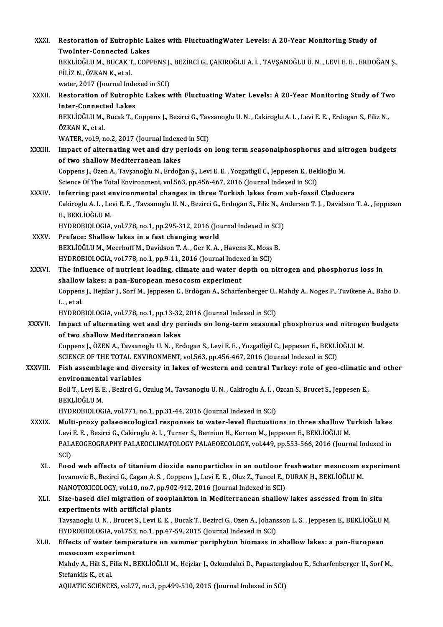| XXXI.         | Restoration of Eutrophic Lakes with Fluctuating Water Levels: A 20-Year Monitoring Study of                                                                                |
|---------------|----------------------------------------------------------------------------------------------------------------------------------------------------------------------------|
|               | <b>TwoInter-Connected Lakes</b><br>BEKLIOĞLU M., BUCAK T., COPPENS J., BEZIRCI G., ÇAKIROĞLU A. İ. , TAVŞANOĞLU Ü. N. , LEVI E. E. , ERDOĞAN Ş.,                           |
|               | FİLİZ N., ÖZKAN K., et al.                                                                                                                                                 |
| XXXII.        | water, 2017 (Journal Indexed in SCI)<br>Restoration of Eutrophic Lakes with Fluctuating Water Levels: A 20-Year Monitoring Study of Two                                    |
|               | <b>Inter-Connected Lakes</b>                                                                                                                                               |
|               | BEKLIOĞLU M., Bucak T., Coppens J., Bezirci G., Tavsanoglu U. N., Cakiroglu A. I., Levi E. E., Erdogan S., Filiz N.,<br>ÖZKAN K., et al.                                   |
|               | WATER, vol.9, no.2, 2017 (Journal Indexed in SCI)                                                                                                                          |
| <b>XXXIII</b> | Impact of alternating wet and dry periods on long term seasonalphosphorus and nitrogen budgets<br>of two shallow Mediterranean lakes                                       |
|               | Coppens J., Özen A., Tavşanoğlu N., Erdoğan Ş., Levi E. E., Yozgatlıgil C., Jeppesen E., Beklioğlu M.                                                                      |
|               | Science Of The Total Environment, vol.563, pp.456-467, 2016 (Journal Indexed in SCI)                                                                                       |
| XXXIV.        | Inferring past environmental changes in three Turkish lakes from sub-fossil Cladocera                                                                                      |
|               | Cakiroglu A. I., Levi E. E., Tavsanoglu U. N., Bezirci G., Erdogan S., Filiz N., Andersen T. J., Davidson T. A., Jeppesen<br>E., BEKLIOĞLU M.                              |
|               | HYDROBIOLOGIA, vol.778, no.1, pp.295-312, 2016 (Journal Indexed in SCI)                                                                                                    |
| XXXV.         | Preface: Shallow lakes in a fast changing world                                                                                                                            |
|               | BEKLIOĞLU M., Meerhoff M., Davidson T. A., Ger K. A., Havens K., Moss B.                                                                                                   |
|               | HYDROBIOLOGIA, vol.778, no.1, pp.9-11, 2016 (Journal Indexed in SCI)                                                                                                       |
| XXXVI.        | The influence of nutrient loading, climate and water depth on nitrogen and phosphorus loss in                                                                              |
|               | shallow lakes: a pan-European mesocosm experiment<br>Coppens J., Hejzlar J., Sorf M., Jeppesen E., Erdogan A., Scharfenberger U., Mahdy A., Noges P., Tuvikene A., Baho D. |
|               | L, et al.                                                                                                                                                                  |
|               | HYDROBIOLOGIA, vol 778, no.1, pp.13-32, 2016 (Journal Indexed in SCI)                                                                                                      |
| XXXVII.       | Impact of alternating wet and dry periods on long-term seasonal phosphorus and nitrogen budgets<br>of two shallow Mediterranean lakes                                      |
|               | Coppens J., ÖZEN A., Tavsanoglu U. N., Erdogan S., Levi E. E., Yozgatligil C., Jeppesen E., BEKLİOĞLU M.                                                                   |
|               | SCIENCE OF THE TOTAL ENVIRONMENT, vol.563, pp.456-467, 2016 (Journal Indexed in SCI)                                                                                       |
| XXXVIII.      | Fish assemblage and diversity in lakes of western and central Turkey: role of geo-climatic and other<br>environmental variables                                            |
|               | Boll T., Levi E. E., Bezirci G., Ozulug M., Tavsanoglu U. N., Cakiroglu A. I., Ozcan S., Brucet S., Jeppesen E.,<br>BEKLIOĞLU M.                                           |
|               | HYDROBIOLOGIA, vol.771, no.1, pp.31-44, 2016 (Journal Indexed in SCI)                                                                                                      |
| <b>XXXIX</b>  | Multi-proxy palaeoecological responses to water-level fluctuations in three shallow Turkish lakes                                                                          |
|               | Levi E. E., Bezirci G., Cakiroglu A. I., Turner S., Bennion H., Kernan M., Jeppesen E., BEKLİOĞLU M.                                                                       |
|               | PALAEOGEOGRAPHY PALAEOCLIMATOLOGY PALAEOECOLOGY, vol.449, pp.553-566, 2016 (Journal Indexed in<br>SCI)                                                                     |
| XL.           | Food web effects of titanium dioxide nanoparticles in an outdoor freshwater mesocosm experiment                                                                            |
|               | Jovanovic B., Bezirci G., Cagan A. S. , Coppens J., Levi E. E. , Oluz Z., Tuncel E., DURAN H., BEKLİOĞLU M.                                                                |
| XLI.          | NANOTOXICOLOGY, vol.10, no.7, pp.902-912, 2016 (Journal Indexed in SCI)<br>Size-based diel migration of zooplankton in Mediterranean shallow lakes assessed from in situ   |
|               | experiments with artificial plants                                                                                                                                         |
|               | Tavsanoglu U. N. , Brucet S., Levi E. E. , Bucak T., Bezirci G., Ozen A., Johansson L. S. , Jeppesen E., BEKLİOĞLU M.                                                      |
|               | HYDROBIOLOGIA, vol.753, no.1, pp.47-59, 2015 (Journal Indexed in SCI)                                                                                                      |
| XLII.         | Effects of water temperature on summer periphyton biomass in shallow lakes: a pan-European                                                                                 |
|               | mesocosm experiment                                                                                                                                                        |
|               | Mahdy A., Hilt S., Filiz N., BEKLİOĞLU M., Hejzlar J., Ozkundakci D., Papastergiadou E., Scharfenberger U., Sorf M.,                                                       |
|               | Stefanidis K, et al.                                                                                                                                                       |
|               | AQUATIC SCIENCES, vol.77, no.3, pp.499-510, 2015 (Journal Indexed in SCI)                                                                                                  |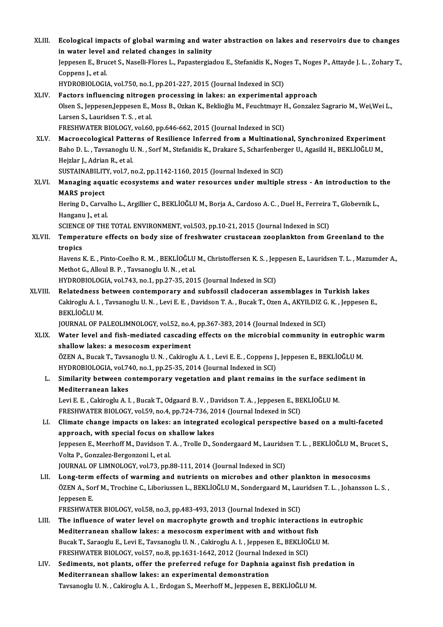XLIII. Ecological impacts of global warming and water abstraction on lakes and reservoirs due to changes<br>in water level and related changes in solinity **Ecological impacts of global warming and wat<br>in water level and related changes in salinity<br>Jonnesen E. Pruset S. Negelli Eleres L. Penestersies** Ecological impacts of global warming and water abstraction on lakes and reservoirs due to changes<br>in water level and related changes in salinity<br>Jeppesen E., Brucet S., Naselli-Flores L., Papastergiadou E., Stefanidis K., in water level and related changes in salinity<br>Jeppesen E., Brucet S., Naselli-Flores L., Papastergiadou E., Stefanidis K., Noges T., Noges P., Attayde J. L. , Zohary T.,<br>Coppens J., et al. HYDROBIOLOGIA, vol.750, no.1, pp.201-227, 2015 (Journal Indexed in SCI) XLIV. Factors influencing nitrogen processing in lakes: an experimental approach HYDROBIOLOGIA, vol.750, no.1, pp.201-227, 2015 (Journal Indexed in SCI)<br>Factors influencing nitrogen processing in lakes: an experimental approach<br>Olsen S., Jeppesen,Jeppesen E., Moss B., Ozkan K., Beklioğlu M., Feuchtmayr Factors influencing nitroger<br>Olsen S., Jeppesen,Jeppesen E., I<br>Larsen S., Lauridsen T. S. , et al.<br>EPESHWATER PIOLOCY .vel 60 Larsen S., Lauridsen T. S. , et al.<br>FRESHWATER BIOLOGY, vol.60, pp.646-662, 2015 (Journal Indexed in SCI) Larsen S., Lauridsen T. S. , et al.<br>FRESHWATER BIOLOGY, vol.60, pp.646-662, 2015 (Journal Indexed in SCI)<br>XLV. Macroecological Patterns of Resilience Inferred from a Multinational, Synchronized Experiment<br>Pabe D. J. . Tays FRESHWATER BIOLOGY, vol.60, pp.646-662, 2015 (Journal Indexed in SCI)<br>Macroecological Patterns of Resilience Inferred from a Multinational, Synchronized Experiment<br>Baho D. L. , Tavsanoglu U. N. , Sorf M., Stefanidis K., Dr Macroecological Patte<br>Baho D. L. , Tavsanoglu U<br>Hejzlar J., Adrian R., et al.<br>SUSTAINAPILITY vol 7 n Baho D. L. , Tavsanoglu U. N. , Sorf M., Stefanidis K., Drakare S., Scharfenberger U., Agasild H., BEKLİOĞLU M.,<br>Hejzlar J., Adrian R., et al.<br>SUSTAINABILITY, vol.7, no.2, pp.1142-1160, 2015 (Journal Indexed in SCI) Hejzlar J., Adrian R., et al.<br>SUSTAINABILITY, vol.7, no.2, pp.1142-1160, 2015 (Journal Indexed in SCI)<br>XLVI. Managing aquatic ecosystems and water resources under multiple stress - An introduction to the<br>MAPS preject SUSTAINABILIT<br>Managing aqu<br>MARS project Managing aquatic ecosystems and water resources under multiple stress - An introduction to<br>MARS project<br>Hering D., Carvalho L., Argillier C., BEKLİOĞLU M., Borja A., Cardoso A. C. , Duel H., Ferreira T., Globevnik L.,<br>Hang MARS project<br>Hering D., Carval<br>Hanganu J., et al.<br>SCIENCE OF TUE Hering D., Carvalho L., Argillier C., BEKLİOĞLU M., Borja A., Cardoso A. C. , Duel H., Ferreira<br>Hanganu J., et al.<br>SCIENCE OF THE TOTAL ENVIRONMENT, vol.503, pp.10-21, 2015 (Journal Indexed in SCI)<br>Temperature effects on b Hanganu J., et al.<br>SCIENCE OF THE TOTAL ENVIRONMENT, vol.503, pp.10-21, 2015 (Journal Indexed in SCI)<br>XLVII. Temperature effects on body size of freshwater crustacean zooplankton from Greenland to the<br>trapice SCIENCE<br>Temper<br>tropics<br><sup>Hovone l</sup> Temperature effects on body size of freshwater crustacean zooplankton from Greenland to the<br>tropics<br>Havens K. E. , Pinto-Coelho R. M. , BEKLİOĞLU M., Christoffersen K. S. , Jeppesen E., Lauridsen T. L. , Mazumder A.,<br>Methe tropics<br>Havens K. E. , Pinto-Coelho R. M. , BEKLİOĞLU M., Christoffersen K. S. , Jeppesen E., Lauridsen T. L. , Mazumder A.,<br>Methot G., Alloul B. P. , Tavsanoglu U. N. , et al. HYDROBIOLOGIA, vol.743, no.1, pp.27-35, 2015 (Journal Indexed in SCI) Methot G., Alloul B. P. , Tavsanoglu U. N. , et al.<br>HYDROBIOLOGIA, vol.743, no.1, pp.27-35, 2015 (Journal Indexed in SCI)<br>XLVIII. Relatedness between contemporary and subfossil cladoceran assemblages in Turkish lakes<br>Colti HYDROBIOLOGIA, vol.743, no.1, pp.27-35, 2015 (Journal Indexed in SCI)<br>Relatedness between contemporary and subfossil cladoceran assemblages in Turkish lakes<br>Cakiroglu A. I. , Tavsanoglu U. N. , Levi E. E. , Davidson T. A. Relatedness<br>Cakiroglu A. I. ,<br>BEKLİOĞLU M.<br>IOUPNAL OF P. Cakiroglu A. I. , Tavsanoglu U. N. , Levi E. E. , Davidson T. A. , Bucak T., Ozen A., AKYILDIZ G<br>BEKLİOĞLU M.<br>JOURNAL OF PALEOLIMNOLOGY, vol.52, no.4, pp.367-383, 2014 (Journal Indexed in SCI)<br>Water level and fish modiated BEKLİOĞLU M.<br>1990: JOURNAL OF PALEOLIMNOLOGY, vol.52, no.4, pp.367-383, 2014 (Journal Indexed in SCI)<br>1991: XLIX. Water level and fish-mediated cascading effects on the microbial community in eutrophic warm shallow lakes: a mesocosm experiment Water level and fish-mediated cascading effects on the microbial community in eutrophic<br>shallow lakes: a mesocosm experiment<br>ÖZEN A., Bucak T., Tavsanoglu U. N. , Cakiroglu A. I. , Levi E. E. , Coppens J., Jeppesen E., BEK shallow lakes: a mesocosm experiment<br>ÖZEN A., Bucak T., Tavsanoglu U. N. , Cakiroglu A. I. , Levi E. E. , Coppens J.<br>HYDROBIOLOGIA, vol.740, no.1, pp.25-35, 2014 (Journal Indexed in SCI)<br>Similarity between contemporary ves ÖZEN A., Bucak T., Tavsanoglu U. N. , Cakiroglu A. I. , Levi E. E. , Coppens J., Jeppesen E., BEKLİOĞLU M.<br>HYDROBIOLOGIA, vol.740, no.1, pp.25-35, 2014 (Journal Indexed in SCI)<br>L. Similarity between contemporary vegetation HYDROBIOLOGIA, vol.74<br>Similarity between co<br>Mediterranean lakes Similarity between contemporary vegetation and plant remains in the surface sedi<br>Mediterranean lakes<br>Levi E. E. , Cakiroglu A. I. , Bucak T., Odgaard B. V. , Davidson T. A. , Jeppesen E., BEKLİOĞLU M.<br>ERESHWATER BIOLOCY, v Mediterranean lakes<br>Levi E. E. , Cakiroglu A. I. , Bucak T., Odgaard B. V. , Davidson T. A. , Jeppesen E., BE<br>FRESHWATER BIOLOGY, vol.59, no.4, pp.724-736, 2014 (Journal Indexed in SCI)<br>Climate change imnests on lakes: en Levi E. E. , Cakiroglu A. I. , Bucak T., Odgaard B. V. , Davidson T. A. , Jeppesen E., BEKLİOĞLU M.<br>FRESHWATER BIOLOGY, vol.59, no.4, pp.724-736, 2014 (Journal Indexed in SCI)<br>LI. Climate change impacts on lakes: an integr FRESHWATER BIOLOGY, vol.59, no.4, pp.724-736, 20<br>Climate change impacts on lakes: an integrated<br>approach, with special focus on shallow lakes Climate change impacts on lakes: an integrated ecological perspective based on a multi-faceted<br>approach, with special focus on shallow lakes<br>Jeppesen E., Meerhoff M., Davidson T. A. , Trolle D., Sondergaard M., Lauridsen T approach, with special focus on s<br>Jeppesen E., Meerhoff M., Davidson T.<br>Volta P., Gonzalez-Bergonzoni I., et al.<br>JOUPMAL OF LIMNOLOCY vol 72 nn S Jeppesen E., Meerhoff M., Davidson T. A. , Trolle D., Sondergaard M., Laurids<br>Volta P., Gonzalez-Bergonzoni I., et al.<br>JOURNAL OF LIMNOLOGY, vol.73, pp.88-111, 2014 (Journal Indexed in SCI)<br>Long term offects of warming and Volta P., Gonzalez-Bergonzoni I., et al.<br>JOURNAL OF LIMNOLOGY, vol.73, pp.88-111, 2014 (Journal Indexed in SCI)<br>LII. Long-term effects of warming and nutrients on microbes and other plankton in mesocosms JOURNAL OF LIMNOLOGY, vol.73, pp.88-111, 2014 (Journal Indexed in SCI)<br>Long-term effects of warming and nutrients on microbes and other plankton in mesocosms<br>ÖZEN A., Sorf M., Trochine C., Liboriussen L., BEKLİOĞLU M., Son **Long-term<br>ÖZEN A., So:<br>Jeppesen E.<br>EDESHMAT** ÖZEN A., Sorf M., Trochine C., Liboriussen L., BEKLİOĞLU M., Sondergaard M., Lau<br>Jeppesen E.<br>FRESHWATER BIOLOGY, vol.58, no.3, pp.483-493, 2013 (Journal Indexed in SCI)<br>The influence of water level en mearenbyte growth and Jeppesen E.<br>FRESHWATER BIOLOGY, vol.58, no.3, pp.483-493, 2013 (Journal Indexed in SCI)<br>LIII. The influence of water level on macrophyte growth and trophic interactions in eutrophic<br>Mediterranean shallow lakes: a massa FRESHWATER BIOLOGY, vol.58, no.3, pp.483-493, 2013 (Journal Indexed in SCI)<br>The influence of water level on macrophyte growth and trophic interactions<br>Mediterranean shallow lakes: a mesocosm experiment with and without fis The influence of water level on macrophyte growth and trophic interactions in<br>Mediterranean shallow lakes: a mesocosm experiment with and without fish<br>Bucak T., Saraoglu E., Levi E., Tavsanoglu U.N. , Cakiroglu A.I. , Jepp Mediterranean shallow lakes: a mesocosm experiment with and without fish<br>Bucak T., Saraoglu E., Levi E., Tavsanoglu U. N., Cakiroglu A. I., Jeppesen E., BEKLİOĞLU M. LIV. Sediments, not plants, offer the preferred refuge for Daphnia against fish predation in FRESHWATER BIOLOGY, vol.57, no.8, pp.1631-1642, 2012 (Journal Indexed in SCI) Tavsanoglu U.N., Cakiroglu A.I., Erdogan S., Meerhoff M., Jeppesen E., BEKLİOĞLU M.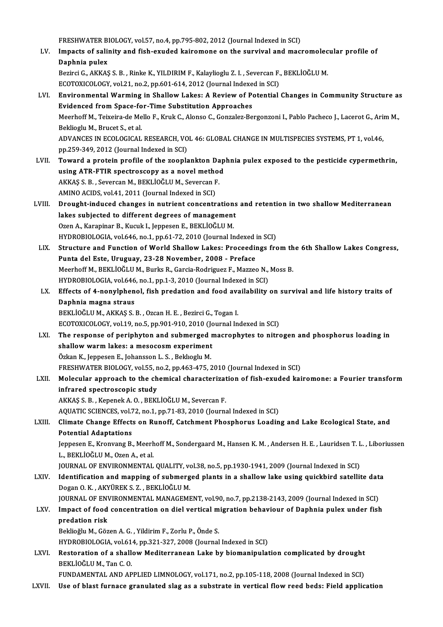FRESHWATER BIOLOGY, vol.57, no.4, pp.795-802, 2012 (Journal Indexed in SCI)<br>Impacts of solinity and fish exuded Itairamana an the survivel and mag

FRESHWATER BIOLOGY, vol.57, no.4, pp.795-802, 2012 (Journal Indexed in SCI)<br>LV. Impacts of salinity and fish-exuded kairomone on the survival and macromolecular profile of FRESHWATER B<br>Impacts of saling<br>Daphnia pulex<br>Boringi C. AKKAS Impacts of salinity and fish-exuded kairomone on the survival and macromolec<br>Daphnia pulex<br>Bezirci G., AKKAŞ S.B. , Rinke K., YILDIRIM F., Kalaylioglu Z. I. , Severcan F., BEKLİOĞLU M.<br>ECOTOVICOLOGY vel 21 no 2 nn 601 614 Daphnia pulex<br>Bezirci G., AKKAŞ S. B. , Rinke K., YILDIRIM F., Kalaylioglu Z. I. , Severcan F., BEKLİOĞLU M.

ECOTOXICOLOGY, vol.21, no.2, pp.601-614, 2012 (Journal Indexed in SCI)

- LVI. Environmental Warming in Shallow Lakes: A Review of Potential Changes in Community Structure as Meerhoff M., Teixeira-de Mello F., Kruk C., Alonso C., Gonzalez-Bergonzoni I., Pablo Pacheco J., Lacerot G., Arim M.,<br>Beklioglu M., Brucet S., et al. Evidenced from Space-for-Time Substitution Approaches Meerhoff M., Teixeira-de Mello F., Kruk C., Alonso C., Gonzalez-Bergonzoni I., Pablo Pacheco J., Lacerot G., Ari<br>Beklioglu M., Brucet S., et al.<br>ADVANCES IN ECOLOGICAL RESEARCH, VOL 46: GLOBAL CHANGE IN MULTISPECIES SYSTEM Beklioglu M., Brucet S., et al.<br>ADVANCES IN ECOLOGICAL RESEARCH, VO<br>pp.259-349, 2012 (Journal Indexed in SCI)<br>Toward a protain profile of the zeeple ADVANCES IN ECOLOGICAL RESEARCH, VOL 46: GLOBAL CHANGE IN MULTISPECIES SYSTEMS, PT 1, vol.46,<br>pp.259-349, 2012 (Journal Indexed in SCI)<br>LVII. Toward a protein profile of the zooplankton Daphnia pulex exposed to the pestici
- pp.259-349, 2012 (Journal Indexed in SCI)<br>LVII. Toward a protein profile of the zooplankton Daphnia pulex exposed to the pesticide cypermethrin,<br>using ATR-FTIR spectroscopy as a novel method Toward a protein profile of the zooplankton Da<br>using ATR-FTIR spectroscopy as a novel method<br>AKKAŞ S.B., Severcan M., BEKLİOĞLU M., Severcan F.<br>AMINO ACIDS vol.41, 2011 (Journal Indoved in SCD) using ATR-FTIR spectroscopy as a novel metho<br>AKKAŞ S. B. , Severcan M., BEKLİOĞLU M., Severcan F<br>AMINO ACIDS, vol.41, 2011 (Journal Indexed in SCI)<br>Prought induced shanges in nutrient sensentr AKKAŞ S. B. , Severcan M., BEKLİOĞLU M., Severcan F.<br>AMINO ACIDS, vol.41, 2011 (Journal Indexed in SCI)<br>LVIII. Drought-induced changes in nutrient concentrations and retention in two shallow Mediterranean<br>lakes subjected t
- AMINO ACIDS, vol.41, 2011 (Journal Indexed in SCI)<br>Drought-induced changes in nutrient concentrations<br>lakes subjected to different degrees of management<br>Ozen A. Karaninar B. Kusuk L. Jannesen E. BEKLIOČLUM Drought-induced changes in nutrient concentration<br>lakes subjected to different degrees of management<br>Ozen A., Karapinar B., Kucuk I., Jeppesen E., BEKLİOĞLU M.<br>HYDROPIOLOCLA vel 646 no 1 np.61.72.2010 (Jeurnal Ir lakes subjected to different degrees of management<br>Ozen A., Karapinar B., Kucuk I., Jeppesen E., BEKLİOĞLU M.<br>HYDROBIOLOGIA, vol.646, no.1, pp.61-72, 2010 (Journal Indexed in SCI)<br>Structure and Eunstien of World Shallow La Ozen A., Karapinar B., Kucuk I., Jeppesen E., BEKLİOĞLU M.<br>HYDROBIOLOGIA, vol.646, no.1, pp.61-72, 2010 (Journal Indexed in SCI)<br>LIX. Structure and Function of World Shallow Lakes: Proceedings from the 6th Shallow Lakes Co
- HYDROBIOLOGIA, vol.646, no.1, pp.61-72, 2010 (Journal Indexed in<br>Structure and Function of World Shallow Lakes: Proceedin<br>Punta del Este, Uruguay, 23-28 November, 2008 Preface<br>Meerboff M. BEKLIOČLU M. Burks B. Carcia Bod Structure and Function of World Shallow Lakes: Proceedings from th<br>Punta del Este, Uruguay, 23-28 November, 2008 - Preface<br>Meerhoff M., BEKLİOĞLU M., Burks R., Garcia-Rodriguez F., Mazzeo N., Moss B.<br>HYDBOBIOLOCLA vel 646 Punta del Este, Uruguay, 23-28 November, 2008 - Preface<br>Meerhoff M., BEKLİOĞLU M., Burks R., Garcia-Rodriguez F., Mazzeo N.,<br>HYDROBIOLOGIA, vol.646, no.1, pp.1-3, 2010 (Journal Indexed in SCI)<br>Effects of 4 nonylphonal, fis Meerhoff M., BEKLIOĞLU M., Burks R., Garcia-Rodriguez F., Mazzeo N., Moss B.<br>HYDROBIOLOGIA, vol.646, no.1, pp.1-3, 2010 (Journal Indexed in SCI)<br>LX. Effects of 4-nonylphenol, fish predation and food availability on surviva
- HYDROBIOLOGIA, vol.646<br>Effects of 4-nonylphen<br>Daphnia magna straus<br>PEKLIOČLIJM AKKAS S Effects of 4-nonylphenol, fish predation and food ava<br>Daphnia magna straus<br>BEKLİOĞLU M., AKKAŞ S.B., Ozcan H.E., Bezirci G., Togan I.<br>ECOTOVICOLOCY vol 19 no 5 nn 901-910-2010 (Journal In Daphnia magna straus<br>BEKLİOĞLU M., AKKAŞ S. B. , Ozcan H. E. , Bezirci G., Togan I.<br>ECOTOXICOLOGY, vol.19, no.5, pp.901-910, 2010 (Journal Indexed in SCI)

- LXI. The response of periphyton and submerged macrophytes to nitrogen and phosphorus loading in ECOTOXICOLOGY, vol.19, no.5, pp.901-910, 2010 (Jonet The response of periphyton and submerged response of periphyton and submerged response  $\tilde{C}$ The response of periphyton and submerged<br>shallow warm lakes: a mesocosm experiment<br>Özkan K., Jeppesen E., Johansson L. S., Beklıoglu M.<br>ERESHWATER RIOLOCY vel EE no 3 nn 463 475 5 Özkan K., Jeppesen E., Johansson L. S. , Beklioglu M.<br>FRESHWATER BIOLOGY, vol.55, no.2, pp.463-475, 2010 (Journal Indexed in SCI) Özkan K., Jeppesen E., Johansson L. S. , Beklıoglu M.<br>FRESHWATER BIOLOGY, vol.55, no.2, pp.463-475, 2010 (Journal Indexed in SCI)<br>LXII. Molecular approach to the chemical characterization of fish-exuded kairomone: a Fourie
- infrared spectroscopic study<br>AKKAŞ S. B., Kepenek A. O., BEKLİOĞLU M., Severcan F. Molecular approach to the chemical characterizat<br>infrared spectroscopic study<br>AKKAŞ S. B. , Kepenek A. O. , BEKLİOĞLU M., Severcan F.<br>AQUATIC SCIENCES VOL72 no 1 nn 71 82 2010 (Journa infrared spectroscopic study<br>AKKAŞ S. B. , Kepenek A. O. , BEKLİOĞLU M., Severcan F.<br>AQUATIC SCIENCES, vol.72, no.1, pp.71-83, 2010 (Journal Indexed in SCI)<br>Slimate Change Effects on Buneff, Catchmont Pheenhouye Loadin

## LXIII. Climate Change Effects on Runoff, Catchment Phosphorus Loading and Lake Ecological State, and<br>Potential Adaptations AQUATIC SCIENCES, vol.7<br>Climate Change Effect:<br>Potential Adaptations<br>Ionnesen E, Kronvang P. Climate Change Effects on Runoff, Catchment Phosphorus Loading and Lake Ecological State, and<br>Potential Adaptations<br>Jeppesen E., Kronvang B., Meerhoff M., Sondergaard M., Hansen K. M. , Andersen H. E. , Lauridsen T. L. , L

Potential Adaptations<br>Jeppesen E., Kronvang B., Meerh<br>L., BEKLİOĞLU M., Ozen A., et al.<br>JOUPNAL OF ENVIPONMENTAL Jeppesen E., Kronvang B., Meerhoff M., Sondergaard M., Hansen K. M. , Andersen H. E. , Lauridsen T. <mark>L</mark><br>L., BEKLİOĞLU M., Ozen A., et al.<br>JOURNAL OF ENVIRONMENTAL QUALITY, vol.38, no.5, pp.1930-1941, 2009 (Journal Indexed

L., BEKLİOĞLU M., Ozen A., et al.<br>JOURNAL OF ENVIRONMENTAL QUALITY, vol.38, no.5, pp.1930-1941, 2009 (Journal Indexed in SCI)<br>LXIV. Identification and mapping of submerged plants in a shallow lake using quickbird satellite **JOURNAL OF ENVIRONMENTAL QUALITY, vonetification and mapping of submerg<br>Dogan O. K. , AKYÜREK S. Z. , BEKLİOĞLU M.<br>JOUPNAL OF ENVIRONMENTAL MANACEME** Identification and mapping of submerged plants in a shallow lake using quickbird satellite dat:<br>Dogan O. K. , AKYÜREK S. Z. , BEKLİOĞLU M.<br>JOURNAL OF ENVIRONMENTAL MANAGEMENT, vol.90, no.7, pp.2138-2143, 2009 (Journal Inde

# Dogan O. K. , AKYÜREK S. Z. , BEKLİOĞLU M.<br>JOURNAL OF ENVIRONMENTAL MANAGEMENT, vol.90, no.7, pp.2138-2143, 2009 (Journal Indexed in SCI)<br>LXV. Impact of food concentration on diel vertical migration behaviour of Daphni JOURNAL OF ENVIRONMENTAL MANAGEMENT, vol.90, no.7, pp.2138-2143, 2009 (Journal Indexed in SCI)<br>Impact of food concentration on diel vertical migration behaviour of Daphnia pulex under fish<br>predation risk<br>Beklioğlu M., Göze Impact of food concentration on diel vertical m<br>predation risk<br>Beklioğlu M., Gözen A. G. , Yildirim F., Zorlu P., Önde S.<br>HYDROPIOLOCIA .vel 614. pp.221.227.2008 (Journal

HYDROBIOLOGIA, vol.614, pp.321-327, 2008 (Journal Indexed in SCI)

Beklioğlu M., Gözen A. G. , Yildirim F., Zorlu P., Önde S.<br>HYDROBIOLOGIA, vol.614, pp.321-327, 2008 (Journal Indexed in SCI)<br>LXVI. Restoration of a shallow Mediterranean Lake by biomanipulation complicated by drought HYDROBIOLOGIA, vol.61<br>Restoration of a shall<br>BEKLİOĞLU M., Tan C. O.<br>EUNDAMENTAL AND AR Restoration of a shallow Mediterranean Lake by biomanipulation complicated by drought<br>BEKLİOĞLU M., Tan C. O.<br>FUNDAMENTAL AND APPLIED LIMNOLOGY, vol.171, no.2, pp.105-118, 2008 (Journal Indexed in SCI)<br>Hae of blast funnase

BEKLİOĞLU M., Tan C. O.<br>FUNDAMENTAL AND APPLIED LIMNOLOGY, vol.171, no.2, pp.105-118, 2008 (Journal Indexed in SCI)<br>LXVII. Use of blast furnace granulated slag as a substrate in vertical flow reed beds: Field applicati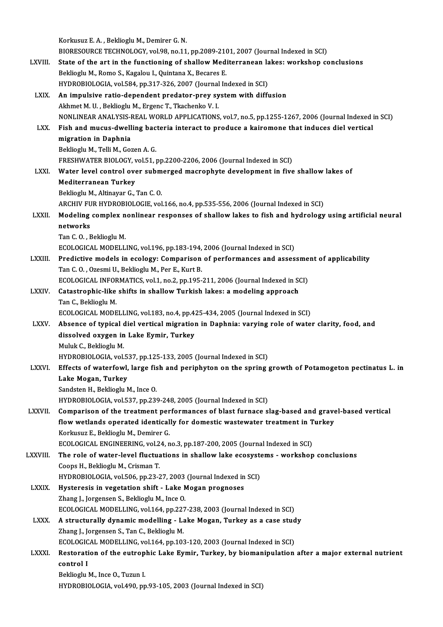|              | Korkusuz E. A., Beklioglu M., Demirer G. N.                                                                                                                               |
|--------------|---------------------------------------------------------------------------------------------------------------------------------------------------------------------------|
|              | BIORESOURCE TECHNOLOGY, vol.98, no.11, pp.2089-2101, 2007 (Journal Indexed in SCI)                                                                                        |
| LXVIII.      | State of the art in the functioning of shallow Mediterranean lakes: workshop conclusions                                                                                  |
|              | Beklioglu M., Romo S., Kagalou I., Quintana X., Becares E.                                                                                                                |
|              | HYDROBIOLOGIA, vol.584, pp.317-326, 2007 (Journal Indexed in SCI)                                                                                                         |
| LXIX.        | An impulsive ratio-dependent predator-prey system with diffusion                                                                                                          |
|              | Akhmet M. U., Beklioglu M., Ergenc T., Tkachenko V. I.                                                                                                                    |
|              | NONLINEAR ANALYSIS-REAL WORLD APPLICATIONS, vol.7, no.5, pp.1255-1267, 2006 (Journal Indexed in SCI)                                                                      |
| LXX.         | Fish and mucus-dwelling bacteria interact to produce a kairomone that induces diel vertical                                                                               |
|              | migration in Daphnia                                                                                                                                                      |
|              | Beklioglu M., Telli M., Gozen A. G.                                                                                                                                       |
|              | FRESHWATER BIOLOGY, vol.51, pp.2200-2206, 2006 (Journal Indexed in SCI)                                                                                                   |
| LXXI.        | Water level control over submerged macrophyte development in five shallow lakes of                                                                                        |
|              | <b>Mediterranean Turkey</b>                                                                                                                                               |
|              | Beklioglu M., Altinayar G., Tan C.O.                                                                                                                                      |
|              | ARCHIV FUR HYDROBIOLOGIE, vol.166, no.4, pp.535-556, 2006 (Journal Indexed in SCI)                                                                                        |
| LXXII.       | Modeling complex nonlinear responses of shallow lakes to fish and hydrology using artificial neural                                                                       |
|              | networks                                                                                                                                                                  |
|              | Tan C.O., Beklioglu M.                                                                                                                                                    |
|              | ECOLOGICAL MODELLING, vol.196, pp.183-194, 2006 (Journal Indexed in SCI)                                                                                                  |
| LXXIII.      | Predictive models in ecology: Comparison of performances and assessment of applicability                                                                                  |
|              | Tan C.O., Ozesmi U., Beklioglu M., Per E., Kurt B.                                                                                                                        |
|              | ECOLOGICAL INFORMATICS, vol.1, no.2, pp.195-211, 2006 (Journal Indexed in SCI)                                                                                            |
| <b>LXXIV</b> | Catastrophic-like shifts in shallow Turkish lakes: a modeling approach                                                                                                    |
|              | Tan C., Beklioglu M.                                                                                                                                                      |
|              | ECOLOGICAL MODELLING, vol.183, no.4, pp.425-434, 2005 (Journal Indexed in SCI)                                                                                            |
| <b>LXXV</b>  | Absence of typical diel vertical migration in Daphnia: varying role of water clarity, food, and                                                                           |
|              | dissolved oxygen in Lake Eymir, Turkey                                                                                                                                    |
|              | Muluk C., Beklioglu M.                                                                                                                                                    |
| <b>LXXVI</b> | HYDROBIOLOGIA, vol.537, pp.125-133, 2005 (Journal Indexed in SCI)<br>Effects of waterfowl, large fish and periphyton on the spring growth of Potamogeton pectinatus L. in |
|              | Lake Mogan, Turkey                                                                                                                                                        |
|              | Sandsten H., Beklioglu M., Ince O.                                                                                                                                        |
|              | HYDROBIOLOGIA, vol.537, pp.239-248, 2005 (Journal Indexed in SCI)                                                                                                         |
| LXXVII.      | Comparison of the treatment performances of blast furnace slag-based and gravel-based vertical                                                                            |
|              | flow wetlands operated identically for domestic wastewater treatment in Turkey                                                                                            |
|              | Korkusuz E., Beklioglu M., Demirer G.                                                                                                                                     |
|              | ECOLOGICAL ENGINEERING, vol.24, no.3, pp.187-200, 2005 (Journal Indexed in SCI)                                                                                           |
| LXXVIII.     | The role of water-level fluctuations in shallow lake ecosystems - workshop conclusions                                                                                    |
|              | Coops H., Beklioglu M., Crisman T.                                                                                                                                        |
|              | HYDROBIOLOGIA, vol.506, pp.23-27, 2003 (Journal Indexed in SCI)                                                                                                           |
| <b>LXXIX</b> | Hysteresis in vegetation shift - Lake Mogan prognoses                                                                                                                     |
|              | Zhang J., Jorgensen S., Beklioglu M., Ince O.                                                                                                                             |
|              | ECOLOGICAL MODELLING, vol.164, pp.227-238, 2003 (Journal Indexed in SCI)                                                                                                  |
| <b>LXXX</b>  | A structurally dynamic modelling - Lake Mogan, Turkey as a case study                                                                                                     |
|              | Zhang J., Jorgensen S., Tan C., Beklioglu M.                                                                                                                              |
|              | ECOLOGICAL MODELLING, vol.164, pp.103-120, 2003 (Journal Indexed in SCI)                                                                                                  |
| <b>LXXXI</b> | Restoration of the eutrophic Lake Eymir, Turkey, by biomanipulation after a major external nutrient                                                                       |
|              | control I                                                                                                                                                                 |
|              | Beklioglu M., Ince O., Tuzun I.                                                                                                                                           |
|              | HYDROBIOLOGIA, vol.490, pp.93-105, 2003 (Journal Indexed in SCI)                                                                                                          |
|              |                                                                                                                                                                           |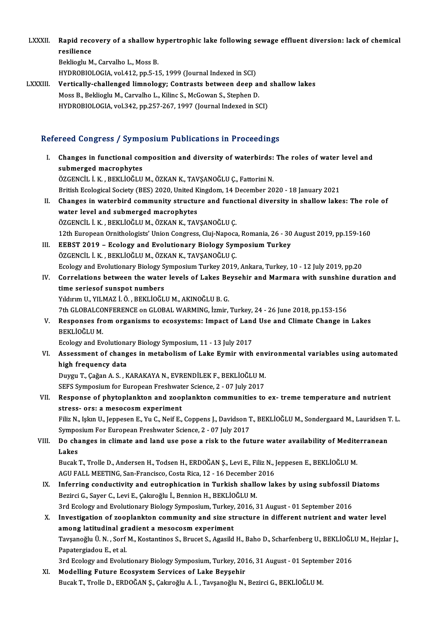LXXXII. Rapid recovery of a shallow hypertrophic lake following sewage effluent diversion: lack of chemical<br>resiliance Rapid reco<br>resilience<br>Pekliegh M resilience<br>Beklioglu M., Carvalho L., Moss B.

HYDROBIOLOGIA, vol.412, pp.5-15, 1999 (Journal Indexed in SCI)

Beklioglu M., Carvalho L., Moss B.<br>HYDROBIOLOGIA, vol.412, pp.5-15, 1999 (Journal Indexed in SCI)<br>LXXXIII. Vertically-challenged limnology; Contrasts between deep and shallow lakes HYDROBIOLOGIA, vol.412, pp.5-15, 1999 (Journal Indexed in SCI)<br>Vertically-challenged limnology; Contrasts between deep al<br>Moss B., Beklioglu M., Carvalho L., Kilinc S., McGowan S., Stephen D.<br>HYDROBIOLOGIA, vol.343, pp.357 Vertically-challenged limnology; Contrasts between deep and<br>Moss B., Beklioglu M., Carvalho L., Kilinc S., McGowan S., Stephen D.<br>HYDROBIOLOGIA, vol.342, pp.257-267, 1997 (Journal Indexed in SCI)

# HYDROBIOLOGIA, vol.342, pp.257-267, 1997 (Journal Indexed in SCI)<br>Refereed Congress / Symposium Publications in Proceedings

efereed Congress / Symposium Publications in Proceedings<br>I. Changes in functional composition and diversity of waterbirds: The roles of water level and<br>submersed magnephytes submerged macrophytes<br>submerged macrophytes<br>dzerweit i v prvtiočtu Changes in functional composition and diversity of waterbirds:<br>submerged macrophytes<br>ÖZGENCİL İ.K., BEKLİOĞLU M., ÖZKAN K., TAVŞANOĞLU Ç., Fattorini N.<br>Pritish Eselegisel Society (BES) 2020 United Kingdom 14 Desember 20 submerged macrophytes<br>ÖZGENCİL İ. K. , BEKLİOĞLU M., ÖZKAN K., TAVŞANOĞLU Ç., Fattorini N.<br>British Ecological Society (BES) 2020, United Kingdom, 14 December 2020 - 18 January 2021<br>Changes in watarhind sommunity structure ÖZGENCİL İ. K. , BEKLİOĞLU M., ÖZKAN K., TAVŞANOĞLU Ç., Fattorini N.<br>British Ecological Society (BES) 2020, United Kingdom, 14 December 2020 - 18 January 2021<br>II. Changes in waterbird community structure and functional div British Ecological Society (BES) 2020, United K<br>Changes in waterbird community structure<br>water level and submerged macrophytes<br>ÖZCENCU LK, PEKLIOČUJM ÖZKANK, TAV Changes in waterbird community structure and func<br>water level and submerged macrophytes<br>ÖZGENCİL İ.K., BEKLİOĞLUM., ÖZKAN K., TAVŞANOĞLUÇ.<br>12th European Omithelegista' Union Congress Clui Nanosa water level and submerged macrophytes<br>ÖZGENCİL İ. K. , BEKLİOĞLU M., ÖZKAN K., TAVŞANOĞLU Ç.<br>12th European Ornithologists' Union Congress, Cluj-Napoca, Romania, 26 - 30 August 2019, pp.159-160<br>EEBST 2010 - Eselegy and Evel ÖZGENCIL İ. K. , BEKLİOĞLU M., ÖZKAN K., TAVŞANOĞLU Ç.<br>12th European Ornithologists' Union Congress, Cluj-Napoca, Romania, 26 - 30<br>III. EEBST 2019 – Ecology and Evolutionary Biology Symposium Turkey<br>ÖZGENCIL İ. K. , BEKLİO 12th European Ornithologists' Union Congress, Cluj-Napoca<br>EEBST 2019 – Ecology and Evolutionary Biology Syn<br>ÖZGENCİL İ.K., BEKLİOĞLU M., ÖZKAN K., TAVŞANOĞLU Ç.<br>Ecology and Evolutionary Biology Symposium Turkey 2019 Ecology andEvolutionaryBiology SymposiumTurkey2019,Ankara,Turkey,10 -12 July2019,pp.20 ÖZGENCİL İ. K. , BEKLİOĞLU M., ÖZKAN K., TAVŞANOĞLU Ç.<br>Ecology and Evolutionary Biology Symposium Turkey 2019, Ankara, Turkey, 10 - 12 July 2019, pp.20<br>IV. Correlations between the water levels of Lakes Beysehir and Ma Ecology and Evolutionary Biology S<br>Correlations between the water<br>time seriesof sunspot numbers<br>Viduum II, VII MAZ i Ö, PEKI İQČI Correlations between the water levels of Lakes Be<br>time seriesof sunspot numbers<br>Yıldırım U., YILMAZ İ.Ö., BEKLİOĞLU M., AKINOĞLU B. G.<br>7th CLOBALCONEERENCE on CLOBAL WARMING İzmir time seriesof sunspot numbers<br>Yıldırım U., YILMAZ İ. Ö. , BEKLİOĞLU M., AKINOĞLU B. G.<br>7th GLOBALCONFERENCE on GLOBAL WARMING, İzmir, Turkey, 24 - 26 June 2018, pp.153-156 Yıldırım U., YILMAZ İ. Ö. , BEKLİOĞLU M., AKINOĞLU B. G.<br>7th GLOBALCONFERENCE on GLOBAL WARMING, İzmir, Turkey, 24 - 26 June 2018, pp.153-156<br>7th Gesponses from organisms to ecosystems: Impact of Land Use and Climate Chang 7th GLOBALCO<br>Responses fr<br>BEKLİOĞLU M.<br>Eselegy and Eu Responses from organisms to ecosystems: Impact of Land<br>BEKLIOĞLU M.<br>Ecology and Evolutionary Biology Symposium, 11 - 13 July 2017 BEKLİOĞLU M.<br>Ecology and Evolutionary Biology Symposium, 11 - 13 July 2017<br>VI. Assessment of changes in metabolism of Lake Eymir with environmental variables using automated<br>high frequency data Ecology and Evolutiona<br>Assessment of chang<br>high frequency data<br>Duvay T. Cožon A. S. K Assessment of changes in metabolism of Lake Eymir with env<br>high frequency data<br>Duygu T., Çağan A.S., KARAKAYA N., EVRENDİLEK F., BEKLİOĞLU M.<br>SEES Sumnesium for European Enschunter Ssience 2, 07 July 2017 high frequency data<br>Duygu T., Çağan A. S. , KARAKAYA N., EVRENDİLEK F., BEKLİOĞLU M.<br>SEFS Symposium for European Freshwater Science, 2 - 07 July 2017 Duygu T., Çağan A. S. , KARAKAYA N., EVRENDİLEK F., BEKLİOĞLU M.<br>SEFS Symposium for European Freshwater Science, 2 - 07 July 2017<br>VII. Response of phytoplankton and zooplankton communities to ex- treme temperature and nutr SEFS Symposium for European Freshwat<br>Response of phytoplankton and zoop<br>stress- ors: a mesocosm experiment<br>Filir N. John H. Jonnesen E. Yu G. Neif E. Response of phytoplankton and zooplankton communities to ex- treme temperature and nutrient<br>stress- ors: a mesocosm experiment<br>Filiz N., Işkın U., Jeppesen E., Yu C., Neif E., Coppens J., Davidson T., BEKLİOĞLU M., Sonderg stress- ors: a mesocosm experiment<br>Filiz N., Işkın U., Jeppesen E., Yu C., Neif E., Coppens J., Davidson T<br>Symposium For European Freshwater Science, 2 - 07 July 2017<br>De shanges in slimate and land use nose a risk to the f Filiz N., Işkın U., Jeppesen E., Yu C., Neif E., Coppens J., Davidson T., BEKLİOĞLU M., Sondergaard M., Lauridsen<br>Symposium For European Freshwater Science, 2 - 07 July 2017<br>VIII. Do changes in climate and land use pose a Symposium For European Freshwater Science, 2 - 07 July 2017<br>Do changes in climate and land use pose a risk to the future water availability of Mediterranean<br>Lakes Do changes in climate and land use pose a risk to the future water availability of Medite<br>Lakes<br>Bucak T., Trolle D., Andersen H., Todsen H., ERDOĞAN Ş., Levi E., Filiz N., Jeppesen E., BEKLİOĞLU M.<br>ACU EALL MEETING. San En L<mark>akes</mark><br>Bucak T., Trolle D., Andersen H., Todsen H., ERDOĞAN Ş., Levi E., Filiz N., J<br>AGU FALL MEETING, San-Francisco, Costa Rica, 12 - 16 December 2016<br>Inforring sondustivity and outrophisation in Turkish shallow lal IX. Inferring conductivity and eutrophication in Turkish shallow lakes by using subfossil Diatoms<br>Bezirci G., Sayer C., Levi E., Cakıroğlu İ., Bennion H., BEKLİOĞLU M. AGU FALL MEETING, San-Francisco, Costa Rica, 12 - 16 December 2016 Inferring conductivity and eutrophication in Turkish shallow lakes by using subfossil I<br>Bezirci G., Sayer C., Levi E., Çakıroğlu İ., Bennion H., BEKLİOĞLU M.<br>3rd Ecology and Evolutionary Biology Symposium, Turkey, 2016, 31 Bezirci G., Sayer C., Levi E., Çakıroğlu İ., Bennion H., BEKLİOĞLU M.<br>3rd Ecology and Evolutionary Biology Symposium, Turkey, 2016, 31 August - 01 September 2016<br>X. Investigation of zooplankton community and size structure 3rd Ecology and Evolutionary Biology Symposium, Turkey,<br>Investigation of zooplankton community and size st<br>among latitudinal gradient a mesocosm experiment<br>Taysanoğlu Ü.N., Sorf M. Kostantines S. Bruset S. Agasild Investigation of zooplankton community and size structure in different nutrient and water level<br>among latitudinal gradient a mesocosm experiment<br>Tavşanoğlu Ü. N., Sorf M., Kostantinos S., Brucet S., Agasild H., Baho D., Sc among latitudinal gradient a mesocosm experiment<br>Tavşanoğlu Ü. N. , Sorf M., Kostantinos S., Brucet S., Agasild H., Baho D., Scharfenberg U., BEKLİOĞLU M., Hejzlar J.,<br>Papatergiadou E., et al. Tavşanoğlu Ü. N. , Sorf M., Kostantinos S., Brucet S., Agasild H., Baho D., Scharfenberg U., BEKLİOĞL<br>Papatergiadou E., et al.<br>3rd Ecology and Evolutionary Biology Symposium, Turkey, 2016, 31 August - 01 September 2016<br>Mod Papatergiadou E., et al.<br>3rd Ecology and Evolutionary Biology Symposium, Turkey, 2013<br>XI. Modelling Future Ecosystem Services of Lake Beyşehir<br>Rugal: T. Tralla D. EPDOČAN S. Calureğlu A. İ. Tavganeğlu N. 3rd Ecology and Evolutionary Biology Symposium, Turkey, 2016, 31 August - 01 Septem<br><mark>Modelling Future Ecosystem Services of Lake Beyşehir</mark><br>Bucak T., Trolle D., ERDOĞAN Ş., Çakıroğlu A. İ. , Tavşanoğlu N., Bezirci G., BEKLİ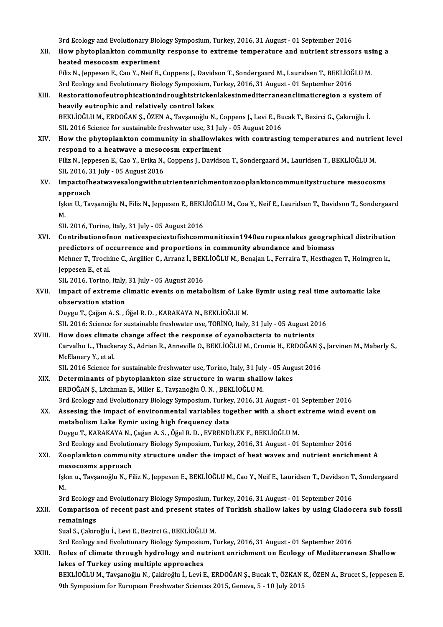3rd Ecology and Evolutionary Biology Symposium, Turkey, 2016, 31 August - 01 September 2016<br>How phytoplankton community necnones to extreme temperature and putrient streege

3rd Ecology and Evolutionary Biology Symposium, Turkey, 2016, 31 August - 01 September 2016<br>XII. How phytoplankton community response to extreme temperature and nutrient stressors using a<br>heated messessors experiment 3rd Ecology and Evolutionary Biol<br>How phytoplankton communit<br>heated mesocosm experiment<br>Filiz N. Jonneson E. Coo Y. Neif E. How phytoplankton community response to extreme temperature and nutrient stressors us:<br>heated mesocosm experiment<br>Filiz N., Jeppesen E., Cao Y., Neif E., Coppens J., Davidson T., Sondergaard M., Lauridsen T., BEKLİOĞLU M.<br> heated mesocosm experiment<br>3. Filiz N., Jeppesen E., Cao Y., Neif E., Coppens J., Davidson T., Sondergaard M., Lauridsen T., BEKLİOĞLU M.

3rd Ecology and Evolutionary Biology Symposium, Turkey, 2016, 31 August - 01 September 2016

- XIII. Restorationofeutrophicationindroughtstrickenlakesinmediterraneanclimaticregion a system of heavily eutrophic and relatively control lakes Restorationofeutrophicationindroughtstrickenlakesinmediterraneanclimaticregion a system<br>heavily eutrophic and relatively control lakes<br>BEKLİOĞLU M., ERDOĞAN Ş., ÖZEN A., Tavşanoğlu N., Coppens J., Levi E., Bucak T., Bezirc heavily eutrophic and relatively control lakes<br>BEKLİOĞLU M., ERDOĞAN Ş., ÖZEN A., Tavşanoğlu N., Coppens J., Levi E., B.<br>SIL 2016 Science for sustainable freshwater use, 31 July - 05 August 2016<br>How the nhytonlankten commu BEKLİOĞLU M., ERDOĞAN Ş., ÖZEN A., Tavşanoğlu N., Coppens J., Levi E., Bucak T., Bezirci G., Çakıroğlu İ.<br>SIL 2016 Science for sustainable freshwater use, 31 July - 05 August 2016<br>XIV. How the phytoplankton community in sh
- SIL 2016 Science for sustainable freshwater use, 31 Ju<br>How the phytoplankton community in shallowlain<br>respond to a heatwave a mesocosm experiment<br>Filip N. Jonnesen E. Cae Y. Frika N. Connens L. Davide How the phytoplankton community in shallowlakes with contrasting temperatures and nutrie<br>respond to a heatwave a mesocosm experiment<br>Filiz N., Jeppesen E., Cao Y., Erika N., Coppens J., Davidson T., Sondergaard M., Laurids respond to a heatwave a mesocosm experiment<br>Filiz N., Jeppesen E., Cao Y., Erika N., Coppens J., Davidson T., Sondergaard M., Lauridsen T., BEKLİOĞLU M.<br>SIL 2016, 31 July - 05 August 2016 Filiz N., Jeppesen E., Cao Y., Erika N., Coppens J., Davidson T., Sondergaard M., Lauridsen T., BEKLİOĞLU M.<br>SIL 2016, 31 July - 05 August 2016<br>XV. Impactofheatwavesalongwithnutrientenrichmentonzooplanktoncommunitystructur
- SIL 2016, 3<br>Impactofh<br>approach<br>Islan U. Tox Impactofheatwavesalongwithnutrientenrichmentonzooplanktoncommunitystructure mesocosms<br>approach<br>Işkın U., Tavşanoğlu N., Filiz N., Jeppesen E., BEKLİOĞLU M., Coa Y., Neif E., Lauridsen T., Davidson T., Sondergaard<br>M

approach<br>Işkın U., Tavşanoğlu N., Filiz N., Jeppesen E., BEKLİOĞLU M., Coa Y., Neif E., Lauridsen T., Davidson T., Sondergaard<br>M.

SIL 2016, Torino, Italy, 31 July - 05 August 2016

- M.<br>SIL 2016, Torino, Italy, 31 July 05 August 2016<br>XVI. Contributionofnon nativespeciestofishcommunitiesin1940europeanlakes geographical distribution<br>nuclistors of oscurrerse and proportions in sommunity abundance an SIL 2016, Torino, Italy, 31 July - 05 August 2016<br>Contributionofnon nativespeciestofishcommunitiesin1940europeanlakes geograp<br>predictors of occurrence and proportions in community abundance and biomass<br>Mehner T. Trechine C Contributionofnon nativespeciestofishcommunitiesin1940europeanlakes geographical distributio<br>predictors of occurrence and proportions in community abundance and biomass<br>Mehner T., Trochine C., Argillier C., Arranz İ., BEKL predictors of occurrence and proportions in community abundance and biomass<br>Mehner T., Trochine C., Argillier C., Arranz İ., BEKLİOĞLU M., Benajan L., Ferraira T., Hesthagen T., Holmgren k.,<br>Jeppesen E., et al. Mehner T., Trochine C., Argillier C., Arranz İ., BEK<br>Jeppesen E., et al.<br>SIL 2016, Torino, Italy, 31 July - 05 August 2016<br>Impact of extreme climatic exents en metal
- XVII. Impact of extreme climatic events on metabolism of Lake Eymir using real time automatic lake<br>observation station SIL 2016, Torino, Italy,<br>Impact of extreme c<br>observation station<br>Duygu T. Cožan A. S. d observation station<br>Duygu T., Çağan A. S. , Öğel R. D. , KARAKAYA N., BEKLİOĞLU M.<br>SIL 2016: Science for sustainable freshwater use, TORİNO, Italy, 31 July - 05 August 2016<br>How does elimate shange effect the response of sy

DuyguT.,ÇağanA.S. ,ÖğelR.D. ,KARAKAYAN.,BEKLİOĞLUM.

Duygu T., Çağan A. S., Öğel R. D., KARAKAYA N., BEKLİOĞLU M.<br>SIL 2016: Science for sustainable freshwater use, TORİNO, Italy, 31 July - 05 August 20<br>XVIII. How does climate change affect the response of cyanobacteria to nu SIL 2016: Science for sustainable freshwater use, TORİNO, Italy, 31 July - 05 August 2016<br>How does climate change affect the response of cyanobacteria to nutrients<br>Carvalho L., Thackeray S., Adrian R., Anneville O., BEKLİO How does climat<br>Carvalho L., Thacke<br>McElanery Y., et al.<br>SU. 2016 Science fo Carvalho L., Thackeray S., Adrian R., Anneville O., BEKLİOĞLU M., Cromie H., ERDOĞAN Ş.<br>McElanery Y., et al.<br>SIL 2016 Science for sustainable freshwater use, Torino, Italy, 31 July - 05 August 2016<br>Determinante of phytopla McElanery Y., et al.<br>SIL 2016 Science for sustainable freshwater use, Torino, Italy, 31 July - 05 Aug<br>XIX. Determinants of phytoplankton size structure in warm shallow lakes

- SIL 2016 Science for sustainable freshwater use, Torino, Italy, 31 July<br>Determinants of phytoplankton size structure in warm shall<br>ERDOĞAN Ş., Litchman E., Miller E., Tavşanoğlu Ü. N. , BEKLİOĞLU M.<br><sup>2nd Ecology and Evolut</sup> ERDOĞAN Ş., Litchman E., Miller E., Tavşanoğlu Ü. N. , BEKLİOĞLU M.<br>3rd Ecology and Evolutionary Biology Symposium, Turkey, 2016, 31 August - 01 September 2016 ERDOĞAN Ş., Litchman E., Miller E., Tavşanoğlu Ü. N. , BEKLİOĞLU M.<br>3rd Ecology and Evolutionary Biology Symposium, Turkey, 2016, 31 August - 01 September 2016<br>XX. Assesing the impact of environmental variables together wi
- 3rd Ecology and Evolutionary Biology Symposium, Turke<br>Assesing the impact of environmental variables to<br>metabolism Lake Eymir using high frequency data<br>Durgy T. KARAKAYA N. Cožon A.S., Öžel R.D., EVRENDI Assesing the impact of environmental variables together with a short of metabolism Lake Eymir using high frequency data<br>Duygu T., KARAKAYA N., Çağan A. S. , Öğel R. D. , EVRENDİLEK F., BEKLİOĞLU M.<br>2rd Ecology and Evolutio metabolism Lake Eymir using high frequency data<br>Duygu T., KARAKAYA N., Çağan A. S. , Öğel R. D. , EVRENDİLEK F., BEKLİOĞLU M.<br>3rd Ecology and Evolutionary Biology Symposium, Turkey, 2016, 31 August - 01 September 2016<br>Zeop

# Duygu T., KARAKAYA N., Çağan A. S. , Öğel R. D. , EVRENDİLEK F., BEKLİOĞLU M.<br>3rd Ecology and Evolutionary Biology Symposium, Turkey, 2016, 31 August - 01 September 2016<br>XXI. Zooplankton community structure under the impac 3rd Ecology and Evolutio<br>Zooplankton communi<br>mesocosms approach<br>Jelan u Tavcanoğlu N. Es Zooplankton community structure under the impact of heat waves and nutrient enrichment A<br>mesocosms approach<br>Işkın u., Tavşanoğlu N., Filiz N., Jeppesen E., BEKLİOĞLU M., Cao Y., Neif E., Lauridsen T., Davidson T., Sonderga

me<br>Işk<br>M Işkın u., Tavşanoğlu N., Filiz N., Jeppesen E., BEKLİOĞLU M., Cao Y., Neif E., Lauridsen T., Davidson T.<br>M.<br>3rd Ecology and Evolutionary Biology Symposium, Turkey, 2016, 31 August - 01 September 2016<br>Comparison of recent p

# M.<br>3rd Ecology and Evolutionary Biology Symposium, Turkey, 2016, 31 August - 01 September 2016<br>XXII. Comparison of recent past and present states of Turkish shallow lakes by using Cladocera sub fossil<br>remainings 3rd Ecology and Evolutionary Biology Symposium, Turkey, 2016, 31 August - 01 September 2016<br>Comparison of recent past and present states of Turkish shallow lakes by using Clado<br>remainings<br>Sual S., Çakıroğlu İ., Levi E., Be Comparison of recent past and present states<br>remainings<br>Sual S., Çakıroğlu İ., Levi E., Bezirci G., BEKLİOĞLU M.<br><sup>2nd Ecology and Evolutionary Biology Symposium T.</sub></sup>

3rdEcology andEvolutionaryBiology Symposium,Turkey,2016,31August -01 September 2016

# Sual S., Çakıroğlu İ., Levi E., Bezirci G., BEKLİOĞLU M.<br>3rd Ecology and Evolutionary Biology Symposium, Turkey, 2016, 31 August - 01 September 2016<br>XXIII. Roles of climate through hydrology and nutrient enrichment on 3rd Ecology and Evolutionary Biology Symposius<br>Roles of climate through hydrology and nu<br>lakes of Turkey using multiple approaches<br>REKLIOČLUM Tovenoč<sup>i</sup>ly N. Colinečiu L. Levi L Roles of climate through hydrology and nutrient enrichment on Ecology of Mediterranean Shallow<br>lakes of Turkey using multiple approaches<br>BEKLİOĞLU M., Tavşanoğlu N., Çakiroğlu İ., Levi E., ERDOĞAN Ş., Bucak T., ÖZKAN K., Ö

lakes of Turkey using multiple approaches<br>BEKLİOĞLU M., Tavşanoğlu N., Çakiroğlu İ., Levi E., ERDOĞAN Ş., Bucak T., ÖZKAN I<br>9th Symposium for European Freshwater Sciences 2015, Geneva, 5 - 10 July 2015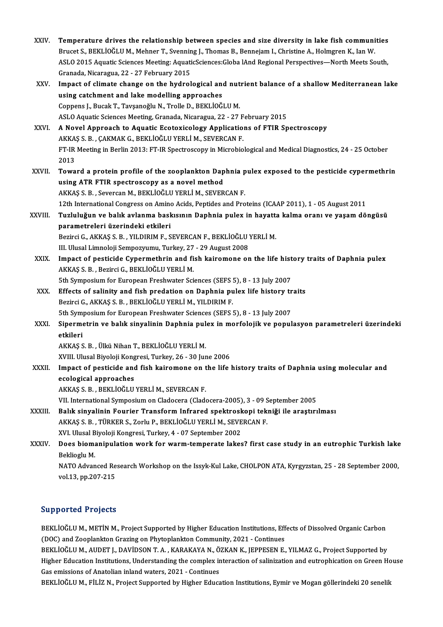| XXIV.        | Temperature drives the relationship between species and size diversity in lake fish communities                                                    |
|--------------|----------------------------------------------------------------------------------------------------------------------------------------------------|
|              | Brucet S., BEKLİOĞLU M., Mehner T., Svenning J., Thomas B., Bennejam I., Christine A., Holmgren K., Ian W.                                         |
|              | ASLO 2015 Aquatic Sciences Meeting: AquaticSciences: Globa lAnd Regional Perspectives-North Meets South,                                           |
|              | Granada, Nicaragua, 22 - 27 February 2015                                                                                                          |
| XXV.         | Impact of climate change on the hydrological and nutrient balance of a shallow Mediterranean lake<br>using catchment and lake modelling approaches |
|              | Coppens J., Bucak T., Tavşanoğlu N., Trolle D., BEKLİOĞLU M.                                                                                       |
|              | ASLO Aquatic Sciences Meeting, Granada, Nicaragua, 22 - 27 February 2015                                                                           |
| XXVI.        | A Novel Approach to Aquatic Ecotoxicology Applications of FTIR Spectroscopy                                                                        |
|              | AKKAŞ S. B. , ÇAKMAK G., BEKLİOĞLU YERLİ M., SEVERCAN F.                                                                                           |
|              | FT-IR Meeting in Berlin 2013: FT-IR Spectroscopy in Microbiological and Medical Diagnostics, 24 - 25 October                                       |
|              | 2013                                                                                                                                               |
| <b>XXVII</b> | Toward a protein profile of the zooplankton Daphnia pulex exposed to the pesticide cypermethrin                                                    |
|              | using ATR FTIR spectroscopy as a novel method                                                                                                      |
|              | AKKAŞ S. B., Severcan M., BEKLİOĞLU YERLİ M., SEVERCAN F.                                                                                          |
|              | 12th International Congress on Amino Acids, Peptides and Proteins (ICAAP 2011), 1 - 05 August 2011                                                 |
| XXVIII       | Tuzluluğun ve balık avlanma baskısının Daphnia pulex in hayatta kalma oranı ve yaşam döngüsü                                                       |
|              | parametreleri üzerindeki etkileri                                                                                                                  |
|              | Bezirci G., AKKAŞ S. B., YILDIRIM F., SEVERCAN F., BEKLİOĞLU YERLİ M.                                                                              |
|              | III. Ulusal Limnoloji Sempozyumu, Turkey, 27 - 29 August 2008                                                                                      |
| XXIX.        | Impact of pesticide Cypermethrin and fish kairomone on the life history traits of Daphnia pulex                                                    |
|              | AKKAŞ S. B., Bezirci G., BEKLİOĞLU YERLİ M.                                                                                                        |
|              | 5th Symposium for European Freshwater Sciences (SEFS 5), 8 - 13 July 2007                                                                          |
| XXX.         | Effects of salinity and fish predation on Daphnia pulex life history traits                                                                        |
|              | Bezirci G., AKKAŞ S. B., BEKLİOĞLU YERLİ M., YILDIRIM F.                                                                                           |
|              | 5th Symposium for European Freshwater Sciences (SEFS 5), 8 - 13 July 2007                                                                          |
| XXXI.        | Sipermetrin ve balık sinyalinin Daphnia pulex in morfolojik ve populasyon parametreleri üzerindeki<br>etkileri                                     |
|              | AKKAŞ S. B., Ülkü Nihan T., BEKLİOĞLU YERLİ M.                                                                                                     |
|              | XVIII. Ulusal Biyoloji Kongresi, Turkey, 26 - 30 June 2006                                                                                         |
| XXXII.       | Impact of pesticide and fish kairomone on the life history traits of Daphnia using molecular and<br>ecological approaches                          |
|              | AKKAŞ S. B., BEKLİOĞLU YERLİ M., SEVERCAN F.                                                                                                       |
|              | VII. International Symposium on Cladocera (Cladocera-2005), 3 - 09 September 2005                                                                  |
| XXXIII.      | Balık sinyalinin Fourier Transform Infrared spektroskopi tekniği ile araştırılması                                                                 |
|              | AKKAŞ S. B., TÜRKER S., Zorlu P., BEKLİOĞLU YERLİ M., SEVERCAN F.                                                                                  |
|              | XVI. Ulusal Biyoloji Kongresi, Turkey, 4 - 07 September 2002                                                                                       |
| XXXIV.       | Does biomanipulation work for warm-temperate lakes? first case study in an eutrophic Turkish lake                                                  |
|              | Beklioglu M                                                                                                                                        |
|              | NATO Advanced Research Workshop on the Issyk-Kul Lake, CHOLPON ATA, Kyrgyzstan, 25 - 28 September 2000,                                            |
|              | vol 13, pp 207-215                                                                                                                                 |
|              |                                                                                                                                                    |

## Supported Projects

Supported Projects<br>BEKLİOĞLU M., METİN M., Project Supported by Higher Education Institutions, Effects of Dissolved Organic Carbon<br>(DOC) and Zeaplankton Crazing on Phytoplankton Community, 2021, Continues ERKLIOĞLU M., METIN M., Project Supported by Higher Education Institutions, Eff<br>(DOC) and Zooplankton Grazing on Phytoplankton Community, 2021 - Continues<br>PEKLIOĞLU M. AUDET L. DAVIDSON T. A., KARAKAYA N., ÖZKAN K., JEPPES BEKLİOĞLU M., METİN M., Project Supported by Higher Education Institutions, Effects of Dissolved Organic Carbon<br>(DOC) and Zooplankton Grazing on Phytoplankton Community, 2021 - Continues<br>BEKLİOĞLU M., AUDET J., DAVİDSON T.

(DOC) and Zooplankton Grazing on Phytoplankton Community, 2021 - Continues<br>BEKLİOĞLU M., AUDET J., DAVİDSON T. A. , KARAKAYA N., ÖZKAN K., JEPPESEN E., YILMAZ G., Project Supported by<br>Higher Education Institutions, Underst BEKLİOĞLU M., AUDET J., DAVİDSON T. A. , KARAKAYA N., Ö<br>Higher Education Institutions, Understanding the complex ir<br>Gas emissions of Anatolian inland waters, 2021 - Continues<br>BEKLİOĞLU M., ELLİZ N., Project Sunnerted bu Hi Higher Education Institutions, Understanding the complex interaction of salinization and eutrophication on Green Hc<br>Gas emissions of Anatolian inland waters, 2021 - Continues<br>BEKLİOĞLU M., FİLİZ N., Project Supported by Hi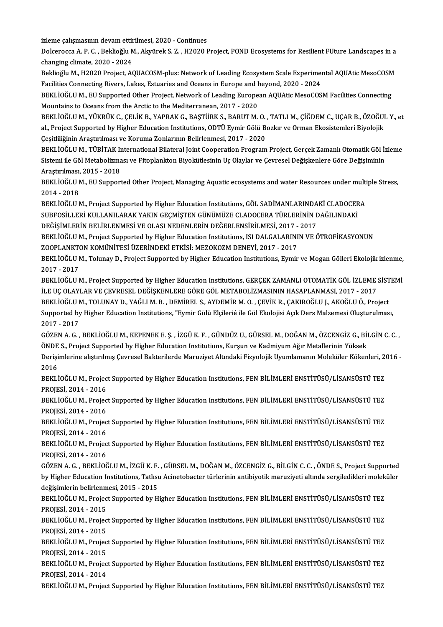izleme çalışmasının devam ettirilmesi, 2020 - Continues

izleme çalışmasının devam ettirilmesi, 2020 - Continues<br>Dolcerocca A. P. C. , Beklioğlu M., Akyürek S. Z. , H2020 Project, POND Ecosystems for Resilient FUture Landscapes in a izleme çalışmasının devam ettir<br>Dolcerocca A. P. C. , Beklioğlu M<br>changing climate, 2020 - 2024<br>Beklioğlu M. H2020 Project, AG Dolcerocca A. P. C. , Beklioğlu M., Akyürek S. Z. , H2020 Project, POND Ecosystems for Resilient FUture Landscapes in a<br>changing climate, 2020 - 2024<br>Beklioğlu M., H2020 Project, AQUACOSM-plus: Network of Leading Ecosystem

changing climate, 2020 - 2024<br>Beklioğlu M., H2020 Project, AQUACOSM-plus: Network of Leading Ecosystem Scale Experimen<br>Facilities Connecting Rivers, Lakes, Estuaries and Oceans in Europe and beyond, 2020 - 2024<br>REKLIOČLU M Beklioğlu M., H2020 Project, AQUACOSM-plus: Network of Leading Ecosystem Scale Experimental AQUAtic MesoCOSM<br>Facilities Connecting Rivers, Lakes, Estuaries and Oceans in Europe and beyond, 2020 - 2024<br>BEKLİOĞLU M., EU Supp

Facilities Connecting Rivers, Lakes, Estuaries and Oceans in Europe and beyond, 2020 - 2024<br>BEKLİOĞLU M., EU Supported Other Project, Network of Leading European AQUAtic MesoCOSM Facilities Connecting<br>Mountains to Oceans f BEKLİOĞLU M., EU Supported Other Project, Network of Leading European AQUAtic MesoCOSM Facilities Connecting

Mountains to Oceans from the Arctic to the Mediterranean, 2017 - 2020<br>BEKLİOĞLU M., YÜKRÜK C., ÇELİK B., YAPRAK G., BAŞTÜRK S., BARUT M. O. , TATLI M., ÇİĞDEM C., UÇAR B., ÖZOĞUI<br>Al., Project Supported by Higher Education BEKLİOĞLU M., YÜKRÜK C., ÇELİK B., YAPRAK G., BAŞTÜRK S., BARUT M. O.<br>al., Project Supported by Higher Education Institutions, ODTÜ Eymir Gölü B.<br>Çeşitliliğinin Araştırılması ve Koruma Zonlarının Belirlenmesi, 2017 - 2020<br> al., Project Supported by Higher Education Institutions, ODTÜ Eymir Gölü Bozkır ve Orman Ekosistemleri Biyolojik<br>Çeşitliliğinin Araştırılması ve Koruma Zonlarının Belirlenmesi, 2017 - 2020<br>BEKLİOĞLU M., TÜBİTAK Internation

Çeşitliliğinin Araştırılması ve Koruma Zonlarının Belirlenmesi, 2017 - 2020<br>BEKLİOĞLU M., TÜBİTAK International Bilateral Joint Cooperation Program Project, Gerçek Zamanlı Otomatik Göl İz<br>Sistemi ile Göl Metabolizması ve F BEKLİOĞLU M., TÜBİTAK I<mark>I</mark><br>Sistemi ile Göl Metabolizma<br>Araştırılması, 2015 - 2018<br>PEKLİOĞLU M., ELI Sunnor Sistemi ile Göl Metabolizması ve Fitoplankton Biyokütlesinin Uç Olaylar ve Çevresel Değişkenlere Göre Değişiminin<br>Araştırılması, 2015 - 2018<br>BEKLİOĞLU M., EU Supported Other Project, Managing Aquatic ecosystems and water R

Araştırılması, 2015 - 2018<br>BEKLİOĞLU M., EU Supported Other Project, Managing Aquatic ecosystems and water Resources under mult<br>2014 - 2018<br>BEKLİOĞLU M., Project Supported by Higher Education Institutions, GÖL SADİMANLARIN BEKLİOĞLU M., EU Supported Other Project, Managing Aquatic ecosystems and water Resources under multi<br>2014 - 2018<br>BEKLİOĞLU M., Project Supported by Higher Education Institutions, GÖL SADİMANLARINDAKİ CLADOCERA<br>SUPEOSİLLER

2014 - 2018<br>BEKLİOĞLU M., Project Supported by Higher Education Institutions, GÖL SADİMANLARINDAKİ CLADOCER<br>SUBFOSİLLERİ KULLANILARAK YAKIN GEÇMİŞTEN GÜNÜMÜZE CLADOCERA TÜRLERİNİN DAĞILINDAKİ<br>DEĞİSİM ERİN BELİRI ENMESİ VE BEKLİOĞLU M., Project Supported by Higher Education Institutions, GÖL SADİMANLARINDA<br>SUBFOSİLLERİ KULLANILARAK YAKIN GEÇMİŞTEN GÜNÜMÜZE CLADOCERA TÜRLERİNİN I<br>DEĞİŞİMLERİN BELİRLENMESİ VE OLASI NEDENLERİN DEĞERLENSİRİLMESİ

DEĞİŞİMLERİN BELİRLENMESİ VE OLASI NEDENLERİN DEĞERLENSİRİLMESİ, 2017 - 2017<br>BEKLİOĞLU M., Project Supported by Higher Education Institutions, ISI DALGALARININ VE ÖTROFİKASYONUN DEĞİŞİMLERİN BELİRLENMESİ VE OLASI NEDENLERİN DEĞERLENSİRİLMESİ, 2017 -<br>BEKLİOĞLU M., Project Supported by Higher Education Institutions, ISI DALGALARINI<br>ZOOPLANKTON KOMÜNİTESİ ÜZERİNDEKİ ETKİSİ: MEZOKOZM DENEYİ, 2017 - 20

BEKLİOĞLU M., Tolunay D., Project Supported by Higher Education Institutions, Eymir ve Mogan Gölleri Ekolojik izlenme,<br>2017 - 2017 ZOOPLANKT<mark>(</mark><br>BEKLİOĞLU I<br>2017 - 2017<br>PEKLİOĞLU I BEKLİOĞLU M., Tolunay D., Project Supported by Higher Education Institutions, Eymir ve Mogan Gölleri Ekolojik izlenme,<br>2017 - 2017<br>BEKLİOĞLU M., Project Supported by Higher Education Institutions, GERÇEK ZAMANLI OTOMATİK G

2017 - 2017<br>BEKLİOĞLU M., Project Supported by Higher Education Institutions, GERÇEK ZAMANLI OTOMATİK GÖL İZLEME<br>İLE UÇ OLAYLAR VE ÇEVRESEL DEĞİŞKENLERE GÖRE GÖL METABOLİZMASININ HASAPLANMASI, 2017 - 2017<br>PEKLİOĞLU M. TOLU BEKLİOĞLU M., Project Supported by Higher Education Institutions, GERÇEK ZAMANLI OTOMATİK GÖL İZLEME SİST<br>İLE UÇ OLAYLAR VE ÇEVRESEL DEĞİŞKENLERE GÖRE GÖL METABOLİZMASININ HASAPLANMASI, 2017 - 2017<br>BEKLİOĞLU M., TOLUNAY D. İLE UÇ OLAYLAR VE ÇEVRESEL DEĞİŞKENLERE GÖRE GÖL METABOLİZMASININ HASAPLANMASI, 2017 - 2017<br>BEKLİOĞLU M., TOLUNAY D., YAĞLI M. B. , DEMİREL S., AYDEMİR M. O. , ÇEVİK R., ÇAKIROĞLU J., AKOĞLU Ö., Project<br>Supported by Higher BEKLİOĞLU M., TOLUNAY D., YAĞLI M. B., DEMİREL S., AYDEMİR M. O., ÇEVİK R., ÇAKIROĞLU J., AKOĞLU Ö., Project

GÖZENA.G. ,BEKLİOĞLUM.,KEPENEKE.Ş. , İZGÜK.F. ,GÜNDÜZU.,GÜRSELM.,DOĞANM.,ÖZCENGİZG.,BİLGİNC.C. , 2017 - 2017<br>GÖZEN A. G. , BEKLİOĞLU M., KEPENEK E. Ş. , İZGÜ K. F. , GÜNDÜZ U., GÜRSEL M., DOĞAN M., ÖZCENGİZ G., Bİ!<br>ÖNDE S., Project Supported by Higher Education Institutions, Kurşun ve Kadmiyum Ağır Metallerinin Yüksek

Derişimlerine alıştırılmış Çevresel Bakterilerde Maruziyet Altındaki Fizyolojik Uyumlamanın Moleküler Kökenleri, 2016 -<br>2016 ÖNDE<br>Derişi<br>2016<br>PEKLİ Derişimlerine alıştırılmış Çevresel Bakterilerde Maruziyet Altındaki Fizyolojik Uyumlamanın Moleküler Kökenleri, 2<br>2016<br>BEKLİOĞLU M., Project Supported by Higher Education Institutions, FEN BİLİMLERİ ENSTİTÜSÜ/LİSANSÜSTÜ T

2016<br>BEKLİOĞLU M., Projec<br>PROJESİ, 2014 - 2016<br>PEKLİOĞLU M., Projec BEKLİOĞLU M., Project Supported by Higher Education Institutions, FEN BİLİMLERİ ENSTİTÜSÜ/LİSANSÜSTÜ TEZ<br>PROJESİ, 2014 - 2016<br>BEKLİOĞLU M., Project Supported by Higher Education Institutions, FEN BİLİMLERİ ENSTİTÜSÜ/LİSANS

PROJESİ, 2014 - 2016<br>BEKLİOĞLU M., Projec<br>PROJESİ, 2014 - 2016<br>PEKLİOĞLU M. Projec BEKLİOĞLU M., Project Supported by Higher Education Institutions, FEN BİLİMLERİ ENSTİTÜSÜ/LİSANSÜSTÜ TEZ<br>PROJESİ, 2014 - 2016<br>BEKLİOĞLU M., Project Supported by Higher Education Institutions, FEN BİLİMLERİ ENSTİTÜSÜ/LİSANS

PROJESİ, 2014 - 2016<br>BEKLİOĞLU M., Project Supported by Higher Education Institutions, FEN BİLİMLERİ ENSTİTÜSÜ/LİSANSÜSTÜ TEZ<br>PROJESİ, 2014 - 2016 BEKLİOĞLU M., Project Supported by Higher Education Institutions, FEN BİLİMLERİ ENSTİTÜSÜ/LİSANSÜSTÜ TEZ<br>PROJESİ, 2014 - 2016<br>BEKLİOĞLU M., Project Supported by Higher Education Institutions, FEN BİLİMLERİ ENSTİTÜSÜ/LİSANS

PROJESİ, 2014 - 2016<br>BEKLİOĞLU M., Projec<br>PROJESİ, 2014 - 2016<br>CÖZEN A.C., PEKLİOČ BEKLİOĞLU M., Project Supported by Higher Education Institutions, FEN BİLİMLERİ ENSTİTÜSÜ/LİSANSÜSTÜ TEZ<br>PROJESİ, 2014 - 2016<br>GÖZEN A. G. , BEKLİOĞLU M., İZGÜ K. F. , GÜRSEL M., DOĞAN M., ÖZCENGİZ G., BİLGİN C. C. , ÖNDE S

PROJESİ, 2014 - 2016<br>GÖZEN A. G. , BEKLİOĞLU M., İZGÜ K. F. , GÜRSEL M., DOĞAN M., ÖZCENGİZ G., BİLGİN C. C. , ÖNDE S., Project Supported<br>by Higher Education Institutions, Tatlısu Acinetobacter türlerinin antibiyotik maruz GÖZEN A. G. , BEKLİOĞLU M., İZGÜ K. F.<br>by Higher Education Institutions, Tatlısı<br>değişimlerin belirlenmesi, 2015 - 2015<br>PEKLİOĞLU M. Project Sunnerted by H by Higher Education Institutions, Tatlısu Acinetobacter türlerinin antibiyotik maruziyeti altında sergiledikleri molek<br>değişimlerin belirlenmesi, 2015 - 2015<br>BEKLİOĞLU M., Project Supported by Higher Education Institutions

değişimlerin belirlenm<br>BEKLİOĞLU M., Projec<br>PROJESİ, 2014 - 2015<br>PEKLİOĞLU M., Projec BEKLİOĞLU M., Project Supported by Higher Education Institutions, FEN BİLİMLERİ ENSTİTÜSÜ/LİSANSÜSTÜ TEZ<br>PROJESİ, 2014 - 2015<br>BEKLİOĞLU M., Project Supported by Higher Education Institutions, FEN BİLİMLERİ ENSTİTÜSÜ/LİSANS

PROJESİ, 2014 - 2015<br>BEKLİOĞLU M., Project Supported by Higher Education Institutions, FEN BİLİMLERİ ENSTİTÜSÜ/LİSANSÜSTÜ TEZ<br>PROJESİ, 2014 - 2015 BEKLİOĞLU M., Project Supported by Higher Education Institutions, FEN BİLİMLERİ ENSTİTÜSÜ/LİSANSÜSTÜ TEZ<br>PROJESİ, 2014 - 2015<br>BEKLİOĞLU M., Project Supported by Higher Education Institutions, FEN BİLİMLERİ ENSTİTÜSÜ/LİSANS

PROJESİ, 2014 - 2015<br>BEKLİOĞLU M., Projec<br>PROJESİ, 2014 - 2015<br>PEKLİOĞLU M. Projec BEKLİOĞLU M., Project Supported by Higher Education Institutions, FEN BİLİMLERİ ENSTİTÜSÜ/LİSANSÜSTÜ TEZ<br>PROJESİ, 2014 - 2015<br>BEKLİOĞLU M., Project Supported by Higher Education Institutions, FEN BİLİMLERİ ENSTİTÜSÜ/LİSANS

PROJESİ, 2014 - 2015<br>BEKLİOĞLU M., Projec<br>PROJESİ, 2014 - 2014<br>PEKLİOĞLU M. Projec BEKLİOĞLU M., Project Supported by Higher Education Institutions, FEN BİLİMLERİ ENSTİTÜSÜ/LİSANSÜSTÜ TEZ<br>PROJESİ, 2014 - 2014<br>BEKLİOĞLU M., Project Supported by Higher Education Institutions, FEN BİLİMLERİ ENSTİTÜSÜ/LİSANS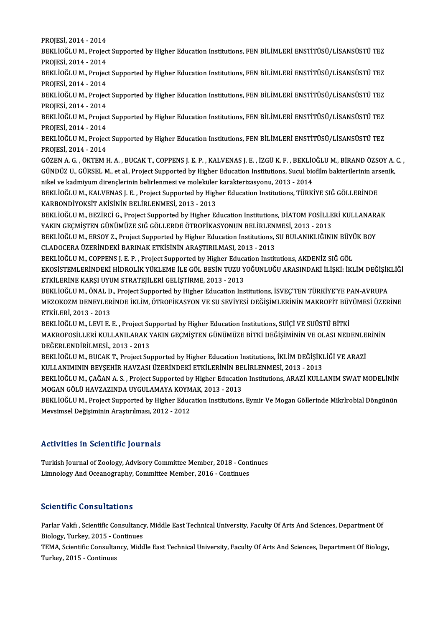PROJESİ,2014 -2014

PROJESİ, 2014 - 2014<br>BEKLİOĞLU M., Project Supported by Higher Education Institutions, FEN BİLİMLERİ ENSTİTÜSÜ/LİSANSÜSTÜ TEZ<br>PROJESİ, 2014, ...2014 PROJESİ, 2014 - 2014<br>BEKLİOĞLU M., Projec<br>PROJESİ, 2014 - 2014<br>PEKLİOĞLU M. Projec BEKLİOĞLU M., Project Supported by Higher Education Institutions, FEN BİLİMLERİ ENSTİTÜSÜ/LİSANSÜSTÜ TEZ<br>PROJESİ, 2014 - 2014<br>BEKLİOĞLU M., Project Supported by Higher Education Institutions, FEN BİLİMLERİ ENSTİTÜSÜ/LİSANS

PROJESİ, 2014 - 2014<br>BEKLİOĞLU M., Project Supported by Higher Education Institutions, FEN BİLİMLERİ ENSTİTÜSÜ/LİSANSÜSTÜ TEZ<br>PROJESİ, 2014 - 2014 BEKLİOĞLU M., Project Supported by Higher Education Institutions, FEN BİLİMLERİ ENSTİTÜSÜ/LİSANSÜSTÜ TEZ<br>PROJESİ, 2014 - 2014<br>BEKLİOĞLU M., Project Supported by Higher Education Institutions, FEN BİLİMLERİ ENSTİTÜSÜ/LİSANS

PROJESİ, 2014 - 2014<br>BEKLİOĞLU M., Projec<br>PROJESİ, 2014 - 2014<br>PEKLİOĞLU M., Projec BEKLİOĞLU M., Project Supported by Higher Education Institutions, FEN BİLİMLERİ ENSTİTÜSÜ/LİSANSÜSTÜ TEZ<br>PROJESİ, 2014 - 2014<br>BEKLİOĞLU M., Project Supported by Higher Education Institutions, FEN BİLİMLERİ ENSTİTÜSÜ/LİSANS

PROJESİ, 2014 - 2014<br>BEKLİOĞLU M., Projec<br>PROJESİ, 2014 - 2014<br>PEKLİOĞLU M., Projec BEKLİOĞLU M., Project Supported by Higher Education Institutions, FEN BİLİMLERİ ENSTİTÜSÜ/LİSANSÜSTÜ TEZ<br>PROJESİ, 2014 - 2014<br>BEKLİOĞLU M., Project Supported by Higher Education Institutions, FEN BİLİMLERİ ENSTİTÜSÜ/LİSANS

PROJESİ, 2014 - 2014<br>BEKLİOĞLU M., Projec<br>PROJESİ, 2014 - 2014<br>CÖZEN A.C., ÖYTEMA BEKLİOĞLU M., Project Supported by Higher Education Institutions, FEN BİLİMLERİ ENSTİTÜSÜ/LİSANSÜSTÜ TEZ<br>PROJESİ, 2014 - 2014<br>GÖZEN A. G. , ÖKTEM H. A. , BUCAK T., COPPENS J. E. P. , KALVENAS J. E. , İZGÜ K. F. , BEKLİOĞLU

PROJESİ, 2014 - 2014<br>GÖZEN A. G. , ÖKTEM H. A. , BUCAK T., COPPENS J. E. P. , KALVENAS J. E. , İZGÜ K. F. , BEKLİOĞLU M., BİRAND ÖZSOY A. C. ,<br>GÜNDÜZ U., GÜRSEL M., et al., Project Supported by Higher Education Institution GÖZEN A. G. , ÖKTEM H. A. , BUCAK T., COPPENS J. E. P. , KALVENAS J. E. , İZGÜ K. F. , BEKLİC<br>GÜNDÜZ U., GÜRSEL M., et al., Project Supported by Higher Education Institutions, Sucul bic<br>nikel ve kadmiyum dirençlerinin beli GÜNDÜZ U., GÜRSEL M., et al., Project Supported by Higher Education Institutions, Sucul biofilm bakterilerinin ars<br>nikel ve kadmiyum dirençlerinin belirlenmesi ve moleküler karakterizasyonu, 2013 - 2014<br>BEKLİOĞLU M., KALVE

nikel ve kadmiyum dirençlerinin belirlenmesi ve moleküler<br>BEKLİOĞLU M., KALVENAS J. E. , Project Supported by High<br>KARBONDİYOKSİT AKİSİNİN BELİRLENMESİ, 2013 - 2013<br>BEKLİOĞLU M. BEZİRCİ G. Project Supported by Higher Es BEKLİOĞLU M., KALVENAS J. E. , Project Supported by Higher Education Institutions, TÜRKİYE SIĞ GÖLLERİNDE<br>KARBONDİYOKSİT AKİSİNİN BELİRLENMESİ, 2013 - 2013<br>BEKLİOĞLU M., BEZİRCİ G., Project Supported by Higher Education In

KARBONDİYOKSİT AKİSİNİN BELİRLENMESİ, 2013 - 2013<br>BEKLİOĞLU M., BEZİRCİ G., Project Supported by Higher Education Institutions, DİATOM FOSİLLERİ KULLANARAK<br>YAKIN GECMİSTEN GÜNÜMÜZE SIĞ GÖLLERDE ÖTROFİKASYONUN BELİRLENMESİ, BEKLİOĞLU M., BEZİRCİ G., Project Supported by Higher Education Institutions, DİATOM FOSİLLERİ KULLANAR*ı*<br>YAKIN GEÇMİŞTEN GÜNÜMÜZE SIĞ GÖLLERDE ÖTROFİKASYONUN BELİRLENMESİ, 2013 - 2013<br>BEKLİOĞLU M., ERSOY Z., Project Supp

YAKIN GEÇMİŞTEN GÜNÜMÜZE SIĞ GÖLLERDE ÖTROFİKASYONUN BELİRLENI<br>BEKLİOĞLU M., ERSOY Z., Project Supported by Higher Education Institutions, :<br>CLADOCERA ÜZERİNDEKİ BARINAK ETKİSİNİN ARAŞTIRILMASI, 2013 - 2013<br>BEKLİOĞLU M. CO BEKLİOĞLU M., ERSOY Z., Project Supported by Higher Education Institutions, SU BULANIKLIĞININ BÜYÜ<br>CLADOCERA ÜZERİNDEKİ BARINAK ETKİSİNİN ARAŞTIRILMASI, 2013 - 2013<br>BEKLİOĞLU M., COPPENS J. E. P. , Project Supported by Hig

CLADOCERA ÜZERİNDEKİ BARINAK ETKİSİNİN ARAŞTIRILMASI, 2013 - 2013<br>BEKLİOĞLU M., COPPENS J. E. P. , Project Supported by Higher Education Institutions, AKDENİZ SIĞ GÖL<br>EKOSİSTEMLERİNDEKİ HİDROLİK YÜKLEME İLE GÖL BESİN TUZU ETKİLERİNE KARŞI UYUM STRATEJİLERİ GELİŞTİRME, 2013 - 2013 EKOSİSTEMLERİNDEKİ HİDROLİK YÜKLEME İLE GÖL BESİN TUZU YOĞUNLUĞU ARASINDAKİ İLİŞKİ: İKLİM DEĞİŞİK<br>ETKİLERİNE KARŞI UYUM STRATEJİLERİ GELİŞTİRME, 2013 - 2013<br>BEKLİOĞLU M., ÖNAL D., Project Supported by Higher Education Inst

ETKİLERİNE KARŞI UYUM STRATEJİLERİ GELİŞTİRME, 2013 - 2013<br>BEKLİOĞLU M., ÖNAL D., Project Supported by Higher Education Institutions, İSVEÇ'TEN TÜRKİYE'YE PAN-AVRUPA<br>MEZOKOZM DENEYLERİNDE İKLİM, ÖTROFİKASYON VE SU SEVİYESİ BEKLİOĞLU M., ÖNAL D<br>MEZOKOZM DENEYLER<br>ETKİLERİ, 2013 - 2013<br>PEKLİOĞLU M. LEVLE MEZOKOZM DENEYLERİNDE İKLİM, ÖTROFİKASYON VE SU SEVİYESİ DEĞİŞİMLERİNİN MAKROFİT BÜYÜMESİ ÜZERİNE<br>ETKİLERİ, 2013 - 2013<br>BEKLİOĞLU M., LEVI E. E. , Project Supported by Higher Education Institutions, SUİÇİ VE SUÜSTÜ BİTKİ

ETKİLERİ, 2013 - 2013<br>BEKLİOĞLU M., LEVI E. E. , Project Supported by Higher Education Institutions, SUİÇİ VE SUÜSTÜ BİTKİ<br>MAKROFOSİLLERİ KULLANILARAK YAKIN GEÇMİŞTEN GÜNÜMÜZE BİTKİ DEĞİŞİMİNİN VE OLASI NEDENLERİNİN<br>DEĞERI DEĞERLENDİRİLMESİ.,2013 -2013 MAKROFOSİLLERİ KULLANILARAK YAKIN GEÇMİŞTEN GÜNÜMÜZE BİTKİ DEĞİŞİMİNİN VE OLASI NEDENLE<br>DEĞERLENDİRİLMESİ., 2013 - 2013<br>BEKLİOĞLU M., BUCAK T., Project Supported by Higher Education Institutions, İKLİM DEĞİŞİKLİĞİ VE ARAZİ

BEKLİOĞLU M., BUCAK T., Project Supported by Higher Education Institutions, İKLİM DEĞİŞİKLİĞİ VE ARAZİ<br>KULLANIMININ BEYSEHİR HAVZASI ÜZERİNDEKİ ETKİLERİNİN BELİRLENMESİ, 2013 - 2013 BEKLİOĞLU M., BUCAK T., Project Supported by Higher Education Institutions, İKLİM DEĞİŞİKLİĞİ VE ARAZİ<br>KULLANIMININ BEYŞEHİR HAVZASI ÜZERİNDEKİ ETKİLERİNİN BELİRLENMESİ, 2013 - 2013<br>BEKLİOĞLU M., ÇAĞAN A. S. , Project Supp

KULLANIMININ BEYŞEHİR HAVZASI ÜZERİNDEKİ ETKİLERİNIN BE<br>BEKLİOĞLU M., ÇAĞAN A. S. , Project Supported by Higher Educatio<br>MOGAN GÖLÜ HAVZAZINDA UYGULAMAYA KOYMAK, 2013 - 2013<br>BEKLİOĞLU M. Project Supported by Higher Educati BEKLİOĞLU M., ÇAĞAN A. S. , Project Supported by Higher Education Institutions, ARAZİ KULLANIM SWAT MODELİNİN<br>MOGAN GÖLÜ HAVZAZINDA UYGULAMAYA KOYMAK, 2013 - 2013<br>BEKLİOĞLU M., Project Supported by Higher Education Institu

MOGAN GÖLÜ HAVZAZINDA UYGULAMAYA KOYM<br>BEKLİOĞLU M., Project Supported by Higher Educ:<br>Mevsimsel Değişiminin Araştırılması, 2012 - 2012 Mevsimsel Değişiminin Araştırılması, 2012 - 2012<br>Activities in Scientific Journals

Activities in Scientific Journals<br>Turkish Journal of Zoology, Advisory Committee Member, 2018 - Continues<br>Limpelegy And Ossanography, Committee Member, 2016 - Continues Little Correct of Securities Committee Member, 2018 - Continues<br>Turkish Journal of Zoology, Advisory Committee Member, 2016 - Continues<br>Limnology And Oceanography, Committee Member, 2016 - Continues Limnology And Oceanography, Committee Member, 2016 - Continues<br>Scientific Consultations

Scientific Consultations<br>Parlar Vakfı , Scientific Consultancy, Middle East Technical University, Faculty Of Arts And Sciences, Department Of<br>Rialagy Turkey, 2015 , Continues Biology, Turkey, 2015<br>Biology, Turkey, 2015 - Continues<br>TEMA, Scientific Concultorey, Midd Parlar Vakfi , Scientific Consultancy, Middle East Technical University, Faculty Of Arts And Sciences, Department Of<br>Biology, Turkey, 2015 - Continues<br>TEMA, Scientific Consultancy, Middle East Technical University, Faculty

Biology, Turkey, 2015 - Continues<br>TEMA, Scientific Consultancy, Middle East Technical University, Faculty Of Arts And Sciences, Department Of Biology,<br>Turkey, 2015 - Continues